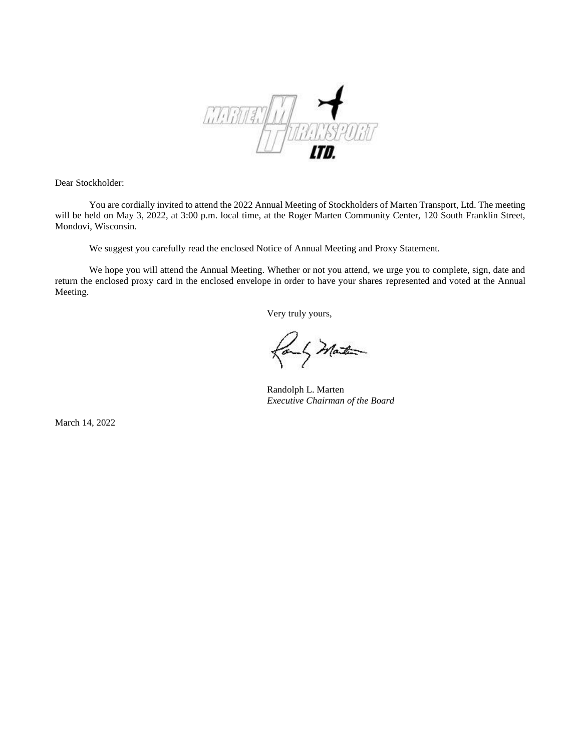

Dear Stockholder:

You are cordially invited to attend the 2022 Annual Meeting of Stockholders of Marten Transport, Ltd. The meeting will be held on May 3, 2022, at 3:00 p.m. local time, at the Roger Marten Community Center, 120 South Franklin Street, Mondovi, Wisconsin.

We suggest you carefully read the enclosed Notice of Annual Meeting and Proxy Statement.

We hope you will attend the Annual Meeting. Whether or not you attend, we urge you to complete, sign, date and return the enclosed proxy card in the enclosed envelope in order to have your shares represented and voted at the Annual Meeting.

Very truly yours,

fort Mater

Randolph L. Marten *Executive Chairman of the Board* 

March 14, 2022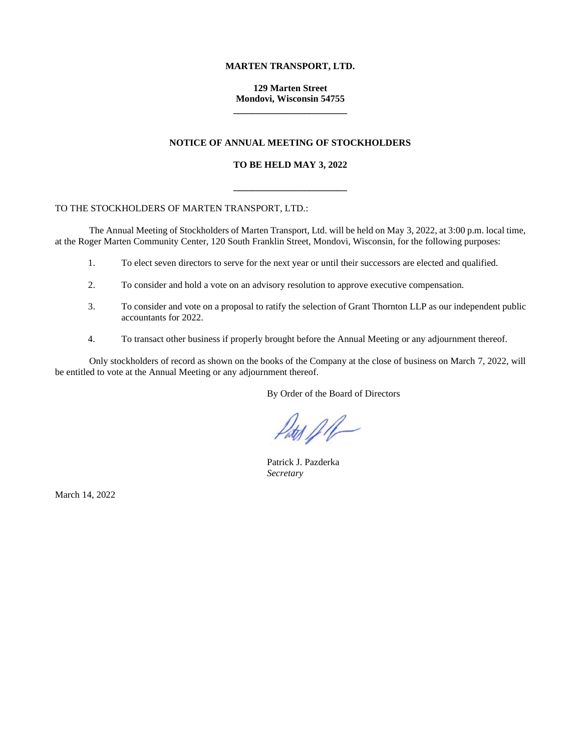# **MARTEN TRANSPORT, LTD.**

# **129 Marten Street Mondovi, Wisconsin 54755 \_\_\_\_\_\_\_\_\_\_\_\_\_\_\_\_\_\_\_\_\_\_\_\_**

# **NOTICE OF ANNUAL MEETING OF STOCKHOLDERS**

### **TO BE HELD MAY 3, 2022**

**\_\_\_\_\_\_\_\_\_\_\_\_\_\_\_\_\_\_\_\_\_\_\_\_**

## TO THE STOCKHOLDERS OF MARTEN TRANSPORT, LTD.:

The Annual Meeting of Stockholders of Marten Transport, Ltd. will be held on May 3, 2022, at 3:00 p.m. local time, at the Roger Marten Community Center, 120 South Franklin Street, Mondovi, Wisconsin, for the following purposes:

- 1. To elect seven directors to serve for the next year or until their successors are elected and qualified.
- 2. To consider and hold a vote on an advisory resolution to approve executive compensation.
- 3. To consider and vote on a proposal to ratify the selection of Grant Thornton LLP as our independent public accountants for 2022.
- 4. To transact other business if properly brought before the Annual Meeting or any adjournment thereof.

Only stockholders of record as shown on the books of the Company at the close of business on March 7, 2022, will be entitled to vote at the Annual Meeting or any adjournment thereof.

By Order of the Board of Directors

 $\mathcal{P}_{\text{at}(f)}$ 

Patrick J. Pazderka *Secretary*

March 14, 2022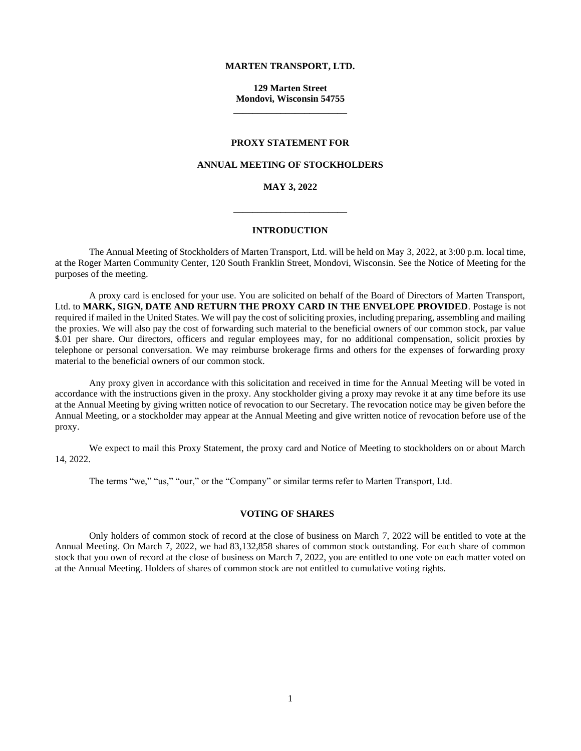### **MARTEN TRANSPORT, LTD.**

**129 Marten Street Mondovi, Wisconsin 54755 \_\_\_\_\_\_\_\_\_\_\_\_\_\_\_\_\_\_\_\_\_\_\_\_**

#### **PROXY STATEMENT FOR**

### **ANNUAL MEETING OF STOCKHOLDERS**

# **MAY 3, 2022**

**\_\_\_\_\_\_\_\_\_\_\_\_\_\_\_\_\_\_\_\_\_\_\_\_**

# **INTRODUCTION**

The Annual Meeting of Stockholders of Marten Transport, Ltd. will be held on May 3, 2022, at 3:00 p.m. local time, at the Roger Marten Community Center, 120 South Franklin Street, Mondovi, Wisconsin. See the Notice of Meeting for the purposes of the meeting.

A proxy card is enclosed for your use. You are solicited on behalf of the Board of Directors of Marten Transport, Ltd. to **MARK, SIGN, DATE AND RETURN THE PROXY CARD IN THE ENVELOPE PROVIDED**. Postage is not required if mailed in the United States. We will pay the cost of soliciting proxies, including preparing, assembling and mailing the proxies. We will also pay the cost of forwarding such material to the beneficial owners of our common stock, par value \$.01 per share. Our directors, officers and regular employees may, for no additional compensation, solicit proxies by telephone or personal conversation. We may reimburse brokerage firms and others for the expenses of forwarding proxy material to the beneficial owners of our common stock.

Any proxy given in accordance with this solicitation and received in time for the Annual Meeting will be voted in accordance with the instructions given in the proxy. Any stockholder giving a proxy may revoke it at any time before its use at the Annual Meeting by giving written notice of revocation to our Secretary. The revocation notice may be given before the Annual Meeting, or a stockholder may appear at the Annual Meeting and give written notice of revocation before use of the proxy.

We expect to mail this Proxy Statement, the proxy card and Notice of Meeting to stockholders on or about March 14, 2022.

The terms "we," "us," "our," or the "Company" or similar terms refer to Marten Transport, Ltd.

## **VOTING OF SHARES**

Only holders of common stock of record at the close of business on March 7, 2022 will be entitled to vote at the Annual Meeting. On March 7, 2022, we had 83,132,858 shares of common stock outstanding. For each share of common stock that you own of record at the close of business on March 7, 2022, you are entitled to one vote on each matter voted on at the Annual Meeting. Holders of shares of common stock are not entitled to cumulative voting rights.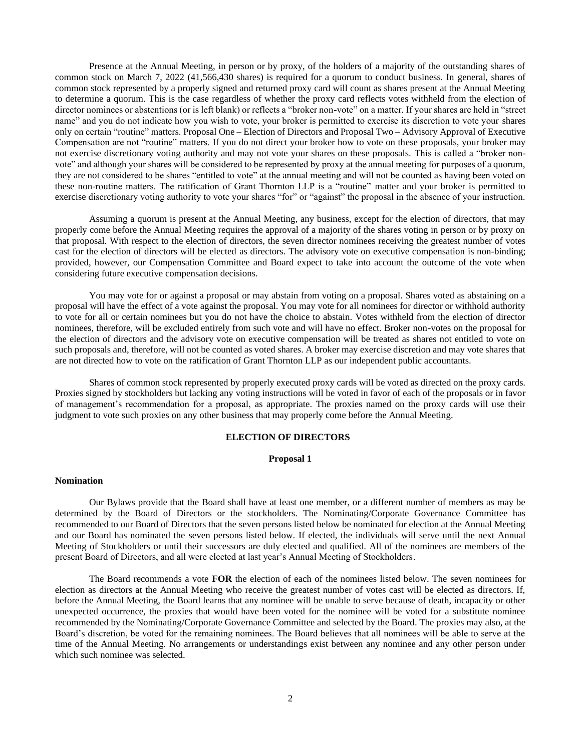Presence at the Annual Meeting, in person or by proxy, of the holders of a majority of the outstanding shares of common stock on March 7, 2022 (41,566,430 shares) is required for a quorum to conduct business. In general, shares of common stock represented by a properly signed and returned proxy card will count as shares present at the Annual Meeting to determine a quorum. This is the case regardless of whether the proxy card reflects votes withheld from the election of director nominees or abstentions (or is left blank) or reflects a "broker non-vote" on a matter. If your shares are held in "street name" and you do not indicate how you wish to vote, your broker is permitted to exercise its discretion to vote your shares only on certain "routine" matters. Proposal One – Election of Directors and Proposal Two – Advisory Approval of Executive Compensation are not "routine" matters. If you do not direct your broker how to vote on these proposals, your broker may not exercise discretionary voting authority and may not vote your shares on these proposals. This is called a "broker nonvote" and although your shares will be considered to be represented by proxy at the annual meeting for purposes of a quorum, they are not considered to be shares "entitled to vote" at the annual meeting and will not be counted as having been voted on these non-routine matters. The ratification of Grant Thornton LLP is a "routine" matter and your broker is permitted to exercise discretionary voting authority to vote your shares "for" or "against" the proposal in the absence of your instruction.

Assuming a quorum is present at the Annual Meeting, any business, except for the election of directors, that may properly come before the Annual Meeting requires the approval of a majority of the shares voting in person or by proxy on that proposal. With respect to the election of directors, the seven director nominees receiving the greatest number of votes cast for the election of directors will be elected as directors. The advisory vote on executive compensation is non-binding; provided, however, our Compensation Committee and Board expect to take into account the outcome of the vote when considering future executive compensation decisions.

You may vote for or against a proposal or may abstain from voting on a proposal. Shares voted as abstaining on a proposal will have the effect of a vote against the proposal. You may vote for all nominees for director or withhold authority to vote for all or certain nominees but you do not have the choice to abstain. Votes withheld from the election of director nominees, therefore, will be excluded entirely from such vote and will have no effect. Broker non-votes on the proposal for the election of directors and the advisory vote on executive compensation will be treated as shares not entitled to vote on such proposals and, therefore, will not be counted as voted shares. A broker may exercise discretion and may vote shares that are not directed how to vote on the ratification of Grant Thornton LLP as our independent public accountants.

Shares of common stock represented by properly executed proxy cards will be voted as directed on the proxy cards. Proxies signed by stockholders but lacking any voting instructions will be voted in favor of each of the proposals or in favor of management's recommendation for a proposal, as appropriate. The proxies named on the proxy cards will use their judgment to vote such proxies on any other business that may properly come before the Annual Meeting.

# **ELECTION OF DIRECTORS**

### **Proposal 1**

### **Nomination**

Our Bylaws provide that the Board shall have at least one member, or a different number of members as may be determined by the Board of Directors or the stockholders. The Nominating/Corporate Governance Committee has recommended to our Board of Directors that the seven persons listed below be nominated for election at the Annual Meeting and our Board has nominated the seven persons listed below. If elected, the individuals will serve until the next Annual Meeting of Stockholders or until their successors are duly elected and qualified. All of the nominees are members of the present Board of Directors, and all were elected at last year's Annual Meeting of Stockholders.

The Board recommends a vote **FOR** the election of each of the nominees listed below. The seven nominees for election as directors at the Annual Meeting who receive the greatest number of votes cast will be elected as directors. If, before the Annual Meeting, the Board learns that any nominee will be unable to serve because of death, incapacity or other unexpected occurrence, the proxies that would have been voted for the nominee will be voted for a substitute nominee recommended by the Nominating/Corporate Governance Committee and selected by the Board. The proxies may also, at the Board's discretion, be voted for the remaining nominees. The Board believes that all nominees will be able to serve at the time of the Annual Meeting. No arrangements or understandings exist between any nominee and any other person under which such nominee was selected.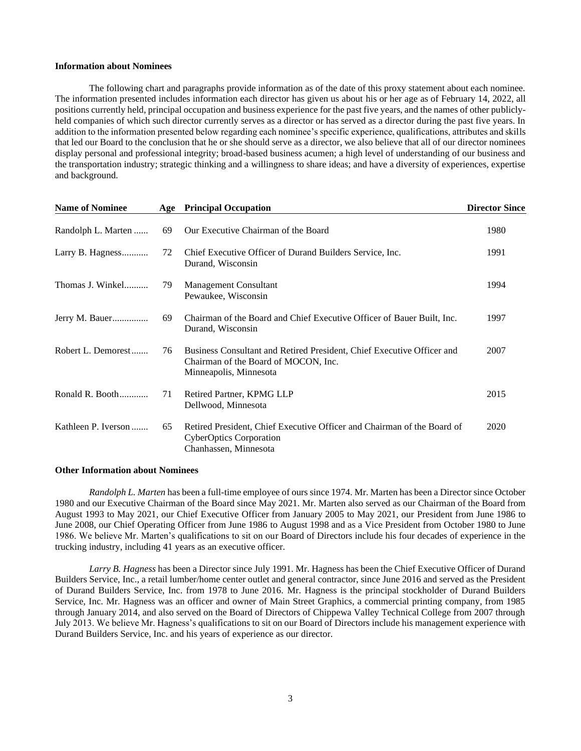### **Information about Nominees**

The following chart and paragraphs provide information as of the date of this proxy statement about each nominee. The information presented includes information each director has given us about his or her age as of February 14, 2022, all positions currently held, principal occupation and business experience for the past five years, and the names of other publiclyheld companies of which such director currently serves as a director or has served as a director during the past five years. In addition to the information presented below regarding each nominee's specific experience, qualifications, attributes and skills that led our Board to the conclusion that he or she should serve as a director, we also believe that all of our director nominees display personal and professional integrity; broad-based business acumen; a high level of understanding of our business and the transportation industry; strategic thinking and a willingness to share ideas; and have a diversity of experiences, expertise and background.

| <b>Name of Nominee</b> | Age | <b>Principal Occupation</b>                                                                                                              | <b>Director Since</b> |
|------------------------|-----|------------------------------------------------------------------------------------------------------------------------------------------|-----------------------|
| Randolph L. Marten     | 69  | Our Executive Chairman of the Board                                                                                                      | 1980                  |
| Larry B. Hagness       | 72  | Chief Executive Officer of Durand Builders Service, Inc.<br>Durand, Wisconsin                                                            | 1991                  |
| Thomas J. Winkel       | 79  | <b>Management Consultant</b><br>Pewaukee, Wisconsin                                                                                      | 1994                  |
| Jerry M. Bauer         | 69  | Chairman of the Board and Chief Executive Officer of Bauer Built, Inc.<br>Durand, Wisconsin                                              | 1997                  |
| Robert L. Demorest     | 76  | Business Consultant and Retired President, Chief Executive Officer and<br>Chairman of the Board of MOCON, Inc.<br>Minneapolis, Minnesota | 2007                  |
| Ronald R. Booth        | 71  | Retired Partner, KPMG LLP<br>Dellwood, Minnesota                                                                                         | 2015                  |
| Kathleen P. Iverson    | 65  | Retired President, Chief Executive Officer and Chairman of the Board of<br><b>CyberOptics Corporation</b><br>Chanhassen, Minnesota       | 2020                  |

#### **Other Information about Nominees**

*Randolph L. Marten* has been a full-time employee of ours since 1974. Mr. Marten has been a Director since October 1980 and our Executive Chairman of the Board since May 2021. Mr. Marten also served as our Chairman of the Board from August 1993 to May 2021, our Chief Executive Officer from January 2005 to May 2021, our President from June 1986 to June 2008, our Chief Operating Officer from June 1986 to August 1998 and as a Vice President from October 1980 to June 1986. We believe Mr. Marten's qualifications to sit on our Board of Directors include his four decades of experience in the trucking industry, including 41 years as an executive officer.

*Larry B. Hagness* has been a Director since July 1991. Mr. Hagness has been the Chief Executive Officer of Durand Builders Service, Inc., a retail lumber/home center outlet and general contractor, since June 2016 and served as the President of Durand Builders Service, Inc. from 1978 to June 2016. Mr. Hagness is the principal stockholder of Durand Builders Service, Inc. Mr. Hagness was an officer and owner of Main Street Graphics, a commercial printing company, from 1985 through January 2014, and also served on the Board of Directors of Chippewa Valley Technical College from 2007 through July 2013. We believe Mr. Hagness's qualifications to sit on our Board of Directors include his management experience with Durand Builders Service, Inc. and his years of experience as our director.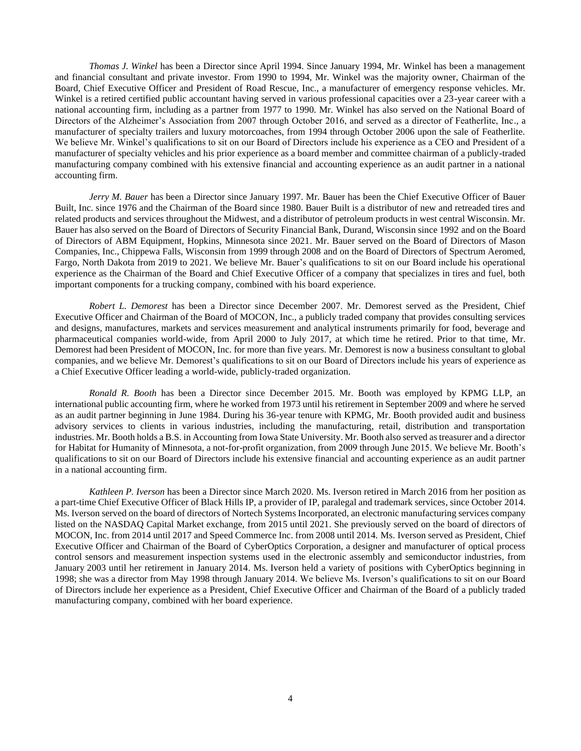*Thomas J. Winkel* has been a Director since April 1994. Since January 1994, Mr. Winkel has been a management and financial consultant and private investor. From 1990 to 1994, Mr. Winkel was the majority owner, Chairman of the Board, Chief Executive Officer and President of Road Rescue, Inc., a manufacturer of emergency response vehicles. Mr. Winkel is a retired certified public accountant having served in various professional capacities over a 23-year career with a national accounting firm, including as a partner from 1977 to 1990. Mr. Winkel has also served on the National Board of Directors of the Alzheimer's Association from 2007 through October 2016, and served as a director of Featherlite, Inc., a manufacturer of specialty trailers and luxury motorcoaches, from 1994 through October 2006 upon the sale of Featherlite. We believe Mr. Winkel's qualifications to sit on our Board of Directors include his experience as a CEO and President of a manufacturer of specialty vehicles and his prior experience as a board member and committee chairman of a publicly-traded manufacturing company combined with his extensive financial and accounting experience as an audit partner in a national accounting firm.

*Jerry M. Bauer* has been a Director since January 1997. Mr. Bauer has been the Chief Executive Officer of Bauer Built, Inc. since 1976 and the Chairman of the Board since 1980. Bauer Built is a distributor of new and retreaded tires and related products and services throughout the Midwest, and a distributor of petroleum products in west central Wisconsin. Mr. Bauer has also served on the Board of Directors of Security Financial Bank, Durand, Wisconsin since 1992 and on the Board of Directors of ABM Equipment, Hopkins, Minnesota since 2021. Mr. Bauer served on the Board of Directors of Mason Companies, Inc., Chippewa Falls, Wisconsin from 1999 through 2008 and on the Board of Directors of Spectrum Aeromed, Fargo, North Dakota from 2019 to 2021. We believe Mr. Bauer's qualifications to sit on our Board include his operational experience as the Chairman of the Board and Chief Executive Officer of a company that specializes in tires and fuel, both important components for a trucking company, combined with his board experience.

*Robert L. Demorest* has been a Director since December 2007. Mr. Demorest served as the President, Chief Executive Officer and Chairman of the Board of MOCON, Inc., a publicly traded company that provides consulting services and designs, manufactures, markets and services measurement and analytical instruments primarily for food, beverage and pharmaceutical companies world-wide, from April 2000 to July 2017, at which time he retired. Prior to that time, Mr. Demorest had been President of MOCON, Inc. for more than five years. Mr. Demorest is now a business consultant to global companies, and we believe Mr. Demorest's qualifications to sit on our Board of Directors include his years of experience as a Chief Executive Officer leading a world-wide, publicly-traded organization.

*Ronald R. Booth* has been a Director since December 2015. Mr. Booth was employed by KPMG LLP, an international public accounting firm, where he worked from 1973 until his retirement in September 2009 and where he served as an audit partner beginning in June 1984. During his 36-year tenure with KPMG, Mr. Booth provided audit and business advisory services to clients in various industries, including the manufacturing, retail, distribution and transportation industries. Mr. Booth holds a B.S. in Accounting from Iowa State University. Mr. Booth also served as treasurer and a director for Habitat for Humanity of Minnesota, a not-for-profit organization, from 2009 through June 2015. We believe Mr. Booth's qualifications to sit on our Board of Directors include his extensive financial and accounting experience as an audit partner in a national accounting firm.

*Kathleen P. Iverson* has been a Director since March 2020. Ms. Iverson retired in March 2016 from her position as a part-time Chief Executive Officer of Black Hills IP, a provider of IP, paralegal and trademark services, since October 2014. Ms. Iverson served on the board of directors of Nortech Systems Incorporated, an electronic manufacturing services company listed on the NASDAQ Capital Market exchange, from 2015 until 2021. She previously served on the board of directors of MOCON, Inc. from 2014 until 2017 and Speed Commerce Inc. from 2008 until 2014. Ms. Iverson served as President, Chief Executive Officer and Chairman of the Board of CyberOptics Corporation, a designer and manufacturer of optical process control sensors and measurement inspection systems used in the electronic assembly and semiconductor industries, from January 2003 until her retirement in January 2014. Ms. Iverson held a variety of positions with CyberOptics beginning in 1998; she was a director from May 1998 through January 2014. We believe Ms. Iverson's qualifications to sit on our Board of Directors include her experience as a President, Chief Executive Officer and Chairman of the Board of a publicly traded manufacturing company, combined with her board experience.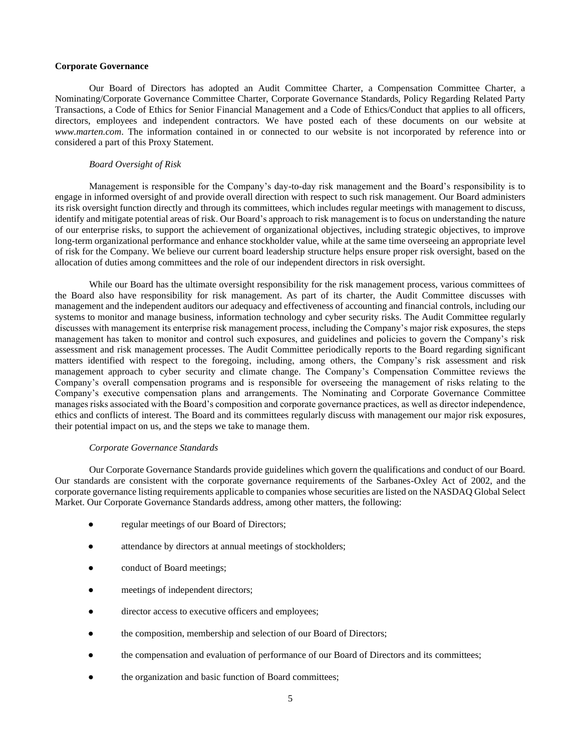### **Corporate Governance**

Our Board of Directors has adopted an Audit Committee Charter, a Compensation Committee Charter, a Nominating/Corporate Governance Committee Charter, Corporate Governance Standards, Policy Regarding Related Party Transactions, a Code of Ethics for Senior Financial Management and a Code of Ethics/Conduct that applies to all officers, directors, employees and independent contractors. We have posted each of these documents on our website at *www.marten.com*. The information contained in or connected to our website is not incorporated by reference into or considered a part of this Proxy Statement.

#### *Board Oversight of Risk*

Management is responsible for the Company's day-to-day risk management and the Board's responsibility is to engage in informed oversight of and provide overall direction with respect to such risk management. Our Board administers its risk oversight function directly and through its committees, which includes regular meetings with management to discuss, identify and mitigate potential areas of risk. Our Board's approach to risk management is to focus on understanding the nature of our enterprise risks, to support the achievement of organizational objectives, including strategic objectives, to improve long-term organizational performance and enhance stockholder value, while at the same time overseeing an appropriate level of risk for the Company. We believe our current board leadership structure helps ensure proper risk oversight, based on the allocation of duties among committees and the role of our independent directors in risk oversight.

While our Board has the ultimate oversight responsibility for the risk management process, various committees of the Board also have responsibility for risk management. As part of its charter, the Audit Committee discusses with management and the independent auditors our adequacy and effectiveness of accounting and financial controls, including our systems to monitor and manage business, information technology and cyber security risks. The Audit Committee regularly discusses with management its enterprise risk management process, including the Company's major risk exposures, the steps management has taken to monitor and control such exposures, and guidelines and policies to govern the Company's risk assessment and risk management processes. The Audit Committee periodically reports to the Board regarding significant matters identified with respect to the foregoing, including, among others, the Company's risk assessment and risk management approach to cyber security and climate change. The Company's Compensation Committee reviews the Company's overall compensation programs and is responsible for overseeing the management of risks relating to the Company's executive compensation plans and arrangements. The Nominating and Corporate Governance Committee manages risks associated with the Board's composition and corporate governance practices, as well as director independence, ethics and conflicts of interest. The Board and its committees regularly discuss with management our major risk exposures, their potential impact on us, and the steps we take to manage them.

#### *Corporate Governance Standards*

Our Corporate Governance Standards provide guidelines which govern the qualifications and conduct of our Board. Our standards are consistent with the corporate governance requirements of the Sarbanes-Oxley Act of 2002, and the corporate governance listing requirements applicable to companies whose securities are listed on the NASDAQ Global Select Market. Our Corporate Governance Standards address, among other matters, the following:

- regular meetings of our Board of Directors;
- attendance by directors at annual meetings of stockholders;
- conduct of Board meetings;
- meetings of independent directors;
- director access to executive officers and employees;
- the composition, membership and selection of our Board of Directors;
- the compensation and evaluation of performance of our Board of Directors and its committees;
- the organization and basic function of Board committees;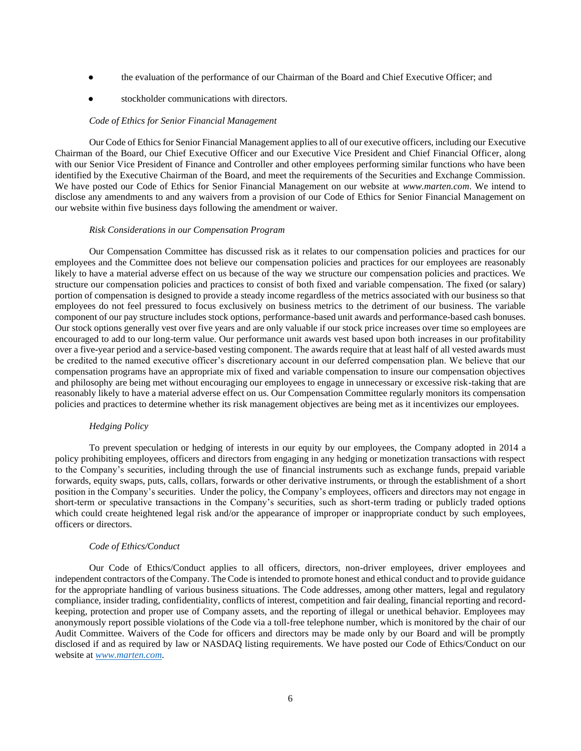- the evaluation of the performance of our Chairman of the Board and Chief Executive Officer; and
- stockholder communications with directors.

## *Code of Ethics for Senior Financial Management*

Our Code of Ethics for Senior Financial Management applies to all of our executive officers, including our Executive Chairman of the Board, our Chief Executive Officer and our Executive Vice President and Chief Financial Officer, along with our Senior Vice President of Finance and Controller and other employees performing similar functions who have been identified by the Executive Chairman of the Board, and meet the requirements of the Securities and Exchange Commission. We have posted our Code of Ethics for Senior Financial Management on our website at *www.marten.com*. We intend to disclose any amendments to and any waivers from a provision of our Code of Ethics for Senior Financial Management on our website within five business days following the amendment or waiver.

### *Risk Considerations in our Compensation Program*

Our Compensation Committee has discussed risk as it relates to our compensation policies and practices for our employees and the Committee does not believe our compensation policies and practices for our employees are reasonably likely to have a material adverse effect on us because of the way we structure our compensation policies and practices. We structure our compensation policies and practices to consist of both fixed and variable compensation. The fixed (or salary) portion of compensation is designed to provide a steady income regardless of the metrics associated with our business so that employees do not feel pressured to focus exclusively on business metrics to the detriment of our business. The variable component of our pay structure includes stock options, performance-based unit awards and performance-based cash bonuses. Our stock options generally vest over five years and are only valuable if our stock price increases over time so employees are encouraged to add to our long-term value. Our performance unit awards vest based upon both increases in our profitability over a five-year period and a service-based vesting component. The awards require that at least half of all vested awards must be credited to the named executive officer's discretionary account in our deferred compensation plan. We believe that our compensation programs have an appropriate mix of fixed and variable compensation to insure our compensation objectives and philosophy are being met without encouraging our employees to engage in unnecessary or excessive risk-taking that are reasonably likely to have a material adverse effect on us. Our Compensation Committee regularly monitors its compensation policies and practices to determine whether its risk management objectives are being met as it incentivizes our employees.

#### *Hedging Policy*

To prevent speculation or hedging of interests in our equity by our employees, the Company adopted in 2014 a policy prohibiting employees, officers and directors from engaging in any hedging or monetization transactions with respect to the Company's securities, including through the use of financial instruments such as exchange funds, prepaid variable forwards, equity swaps, puts, calls, collars, forwards or other derivative instruments, or through the establishment of a short position in the Company's securities. Under the policy, the Company's employees, officers and directors may not engage in short-term or speculative transactions in the Company's securities, such as short-term trading or publicly traded options which could create heightened legal risk and/or the appearance of improper or inappropriate conduct by such employees, officers or directors.

#### *Code of Ethics/Conduct*

Our Code of Ethics/Conduct applies to all officers, directors, non-driver employees, driver employees and independent contractors of the Company. The Code is intended to promote honest and ethical conduct and to provide guidance for the appropriate handling of various business situations. The Code addresses, among other matters, legal and regulatory compliance, insider trading, confidentiality, conflicts of interest, competition and fair dealing, financial reporting and recordkeeping, protection and proper use of Company assets, and the reporting of illegal or unethical behavior. Employees may anonymously report possible violations of the Code via a toll-free telephone number, which is monitored by the chair of our Audit Committee. Waivers of the Code for officers and directors may be made only by our Board and will be promptly disclosed if and as required by law or NASDAQ listing requirements. We have posted our Code of Ethics/Conduct on our website at *[www.marten.com](http://www.marten.com/)*.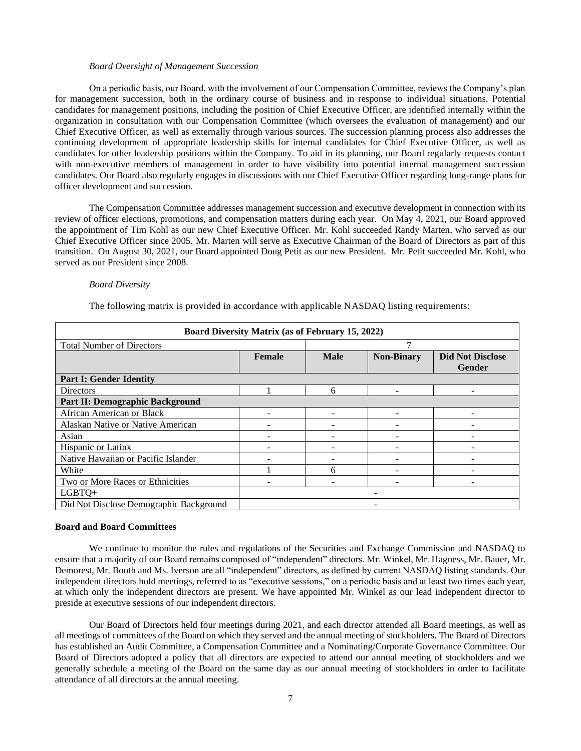#### *Board Oversight of Management Succession*

On a periodic basis, our Board, with the involvement of our Compensation Committee, reviews the Company's plan for management succession, both in the ordinary course of business and in response to individual situations. Potential candidates for management positions, including the position of Chief Executive Officer, are identified internally within the organization in consultation with our Compensation Committee (which oversees the evaluation of management) and our Chief Executive Officer, as well as externally through various sources. The succession planning process also addresses the continuing development of appropriate leadership skills for internal candidates for Chief Executive Officer, as well as candidates for other leadership positions within the Company. To aid in its planning, our Board regularly requests contact with non-executive members of management in order to have visibility into potential internal management succession candidates. Our Board also regularly engages in discussions with our Chief Executive Officer regarding long-range plans for officer development and succession.

The Compensation Committee addresses management succession and executive development in connection with its review of officer elections, promotions, and compensation matters during each year. On May 4, 2021, our Board approved the appointment of Tim Kohl as our new Chief Executive Officer. Mr. Kohl succeeded Randy Marten, who served as our Chief Executive Officer since 2005. Mr. Marten will serve as Executive Chairman of the Board of Directors as part of this transition. On August 30, 2021, our Board appointed Doug Petit as our new President. Mr. Petit succeeded Mr. Kohl, who served as our President since 2008.

#### *Board Diversity*

| Board Diversity Matrix (as of February 15, 2022) |               |             |                   |                                          |  |  |  |  |  |
|--------------------------------------------------|---------------|-------------|-------------------|------------------------------------------|--|--|--|--|--|
| <b>Total Number of Directors</b>                 |               |             |                   |                                          |  |  |  |  |  |
|                                                  | <b>Female</b> | <b>Male</b> | <b>Non-Binary</b> | <b>Did Not Disclose</b><br><b>Gender</b> |  |  |  |  |  |
| <b>Part I: Gender Identity</b>                   |               |             |                   |                                          |  |  |  |  |  |
| Directors                                        |               | 6           |                   |                                          |  |  |  |  |  |
| Part II: Demographic Background                  |               |             |                   |                                          |  |  |  |  |  |
| African American or Black                        | -             |             |                   |                                          |  |  |  |  |  |
| Alaskan Native or Native American                |               |             |                   |                                          |  |  |  |  |  |
| Asian                                            |               |             |                   |                                          |  |  |  |  |  |
| Hispanic or Latinx                               |               |             |                   |                                          |  |  |  |  |  |
| Native Hawaiian or Pacific Islander              |               |             |                   |                                          |  |  |  |  |  |
| White                                            |               | 6           |                   |                                          |  |  |  |  |  |
| Two or More Races or Ethnicities                 |               |             |                   |                                          |  |  |  |  |  |
| $LGBTO+$                                         |               |             |                   |                                          |  |  |  |  |  |
| Did Not Disclose Demographic Background          |               |             |                   |                                          |  |  |  |  |  |

The following matrix is provided in accordance with applicable NASDAQ listing requirements:

### **Board and Board Committees**

We continue to monitor the rules and regulations of the Securities and Exchange Commission and NASDAQ to ensure that a majority of our Board remains composed of "independent" directors. Mr. Winkel, Mr. Hagness, Mr. Bauer, Mr. Demorest, Mr. Booth and Ms. Iverson are all "independent" directors, as defined by current NASDAQ listing standards. Our independent directors hold meetings, referred to as "executive sessions," on a periodic basis and at least two times each year, at which only the independent directors are present. We have appointed Mr. Winkel as our lead independent director to preside at executive sessions of our independent directors.

Our Board of Directors held four meetings during 2021, and each director attended all Board meetings, as well as all meetings of committees of the Board on which they served and the annual meeting of stockholders. The Board of Directors has established an Audit Committee, a Compensation Committee and a Nominating/Corporate Governance Committee. Our Board of Directors adopted a policy that all directors are expected to attend our annual meeting of stockholders and we generally schedule a meeting of the Board on the same day as our annual meeting of stockholders in order to facilitate attendance of all directors at the annual meeting.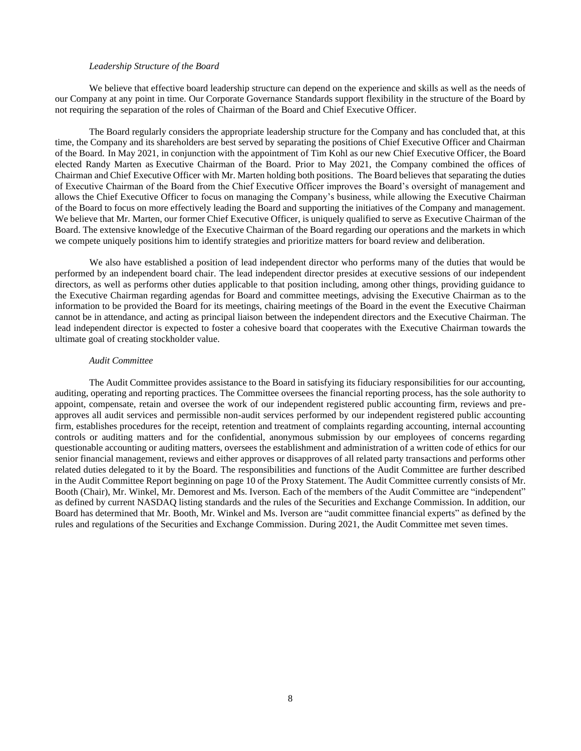### *Leadership Structure of the Board*

We believe that effective board leadership structure can depend on the experience and skills as well as the needs of our Company at any point in time. Our Corporate Governance Standards support flexibility in the structure of the Board by not requiring the separation of the roles of Chairman of the Board and Chief Executive Officer.

The Board regularly considers the appropriate leadership structure for the Company and has concluded that, at this time, the Company and its shareholders are best served by separating the positions of Chief Executive Officer and Chairman of the Board. In May 2021, in conjunction with the appointment of Tim Kohl as our new Chief Executive Officer, the Board elected Randy Marten as Executive Chairman of the Board. Prior to May 2021, the Company combined the offices of Chairman and Chief Executive Officer with Mr. Marten holding both positions. The Board believes that separating the duties of Executive Chairman of the Board from the Chief Executive Officer improves the Board's oversight of management and allows the Chief Executive Officer to focus on managing the Company's business, while allowing the Executive Chairman of the Board to focus on more effectively leading the Board and supporting the initiatives of the Company and management. We believe that Mr. Marten, our former Chief Executive Officer, is uniquely qualified to serve as Executive Chairman of the Board. The extensive knowledge of the Executive Chairman of the Board regarding our operations and the markets in which we compete uniquely positions him to identify strategies and prioritize matters for board review and deliberation.

 We also have established a position of lead independent director who performs many of the duties that would be performed by an independent board chair. The lead independent director presides at executive sessions of our independent directors, as well as performs other duties applicable to that position including, among other things, providing guidance to the Executive Chairman regarding agendas for Board and committee meetings, advising the Executive Chairman as to the information to be provided the Board for its meetings, chairing meetings of the Board in the event the Executive Chairman cannot be in attendance, and acting as principal liaison between the independent directors and the Executive Chairman. The lead independent director is expected to foster a cohesive board that cooperates with the Executive Chairman towards the ultimate goal of creating stockholder value.

### *Audit Committee*

The Audit Committee provides assistance to the Board in satisfying its fiduciary responsibilities for our accounting, auditing, operating and reporting practices. The Committee oversees the financial reporting process, has the sole authority to appoint, compensate, retain and oversee the work of our independent registered public accounting firm, reviews and preapproves all audit services and permissible non-audit services performed by our independent registered public accounting firm, establishes procedures for the receipt, retention and treatment of complaints regarding accounting, internal accounting controls or auditing matters and for the confidential, anonymous submission by our employees of concerns regarding questionable accounting or auditing matters, oversees the establishment and administration of a written code of ethics for our senior financial management, reviews and either approves or disapproves of all related party transactions and performs other related duties delegated to it by the Board. The responsibilities and functions of the Audit Committee are further described in the Audit Committee Report beginning on page 10 of the Proxy Statement. The Audit Committee currently consists of Mr. Booth (Chair), Mr. Winkel, Mr. Demorest and Ms. Iverson. Each of the members of the Audit Committee are "independent" as defined by current NASDAQ listing standards and the rules of the Securities and Exchange Commission. In addition, our Board has determined that Mr. Booth, Mr. Winkel and Ms. Iverson are "audit committee financial experts" as defined by the rules and regulations of the Securities and Exchange Commission. During 2021, the Audit Committee met seven times.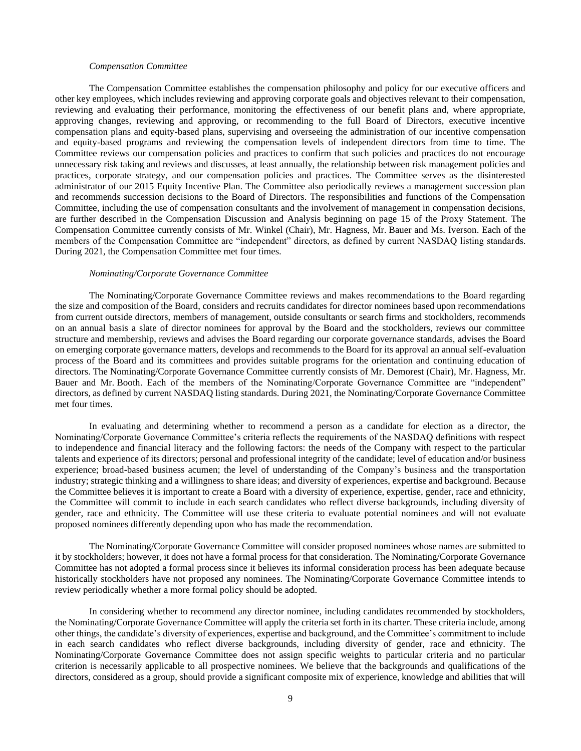### *Compensation Committee*

The Compensation Committee establishes the compensation philosophy and policy for our executive officers and other key employees, which includes reviewing and approving corporate goals and objectives relevant to their compensation, reviewing and evaluating their performance, monitoring the effectiveness of our benefit plans and, where appropriate, approving changes, reviewing and approving, or recommending to the full Board of Directors, executive incentive compensation plans and equity-based plans, supervising and overseeing the administration of our incentive compensation and equity-based programs and reviewing the compensation levels of independent directors from time to time. The Committee reviews our compensation policies and practices to confirm that such policies and practices do not encourage unnecessary risk taking and reviews and discusses, at least annually, the relationship between risk management policies and practices, corporate strategy, and our compensation policies and practices. The Committee serves as the disinterested administrator of our 2015 Equity Incentive Plan. The Committee also periodically reviews a management succession plan and recommends succession decisions to the Board of Directors. The responsibilities and functions of the Compensation Committee, including the use of compensation consultants and the involvement of management in compensation decisions, are further described in the Compensation Discussion and Analysis beginning on page 15 of the Proxy Statement. The Compensation Committee currently consists of Mr. Winkel (Chair), Mr. Hagness, Mr. Bauer and Ms. Iverson. Each of the members of the Compensation Committee are "independent" directors, as defined by current NASDAQ listing standards. During 2021, the Compensation Committee met four times.

#### *Nominating/Corporate Governance Committee*

The Nominating/Corporate Governance Committee reviews and makes recommendations to the Board regarding the size and composition of the Board, considers and recruits candidates for director nominees based upon recommendations from current outside directors, members of management, outside consultants or search firms and stockholders, recommends on an annual basis a slate of director nominees for approval by the Board and the stockholders, reviews our committee structure and membership, reviews and advises the Board regarding our corporate governance standards, advises the Board on emerging corporate governance matters, develops and recommends to the Board for its approval an annual self-evaluation process of the Board and its committees and provides suitable programs for the orientation and continuing education of directors. The Nominating/Corporate Governance Committee currently consists of Mr. Demorest (Chair), Mr. Hagness, Mr. Bauer and Mr. Booth. Each of the members of the Nominating/Corporate Governance Committee are "independent" directors, as defined by current NASDAQ listing standards. During 2021, the Nominating/Corporate Governance Committee met four times.

In evaluating and determining whether to recommend a person as a candidate for election as a director, the Nominating/Corporate Governance Committee's criteria reflects the requirements of the NASDAQ definitions with respect to independence and financial literacy and the following factors: the needs of the Company with respect to the particular talents and experience of its directors; personal and professional integrity of the candidate; level of education and/or business experience; broad-based business acumen; the level of understanding of the Company's business and the transportation industry; strategic thinking and a willingness to share ideas; and diversity of experiences, expertise and background. Because the Committee believes it is important to create a Board with a diversity of experience, expertise, gender, race and ethnicity, the Committee will commit to include in each search candidates who reflect diverse backgrounds, including diversity of gender, race and ethnicity. The Committee will use these criteria to evaluate potential nominees and will not evaluate proposed nominees differently depending upon who has made the recommendation.

The Nominating/Corporate Governance Committee will consider proposed nominees whose names are submitted to it by stockholders; however, it does not have a formal process for that consideration. The Nominating/Corporate Governance Committee has not adopted a formal process since it believes its informal consideration process has been adequate because historically stockholders have not proposed any nominees. The Nominating/Corporate Governance Committee intends to review periodically whether a more formal policy should be adopted.

In considering whether to recommend any director nominee, including candidates recommended by stockholders, the Nominating/Corporate Governance Committee will apply the criteria set forth in its charter. These criteria include, among other things, the candidate's diversity of experiences, expertise and background, and the Committee's commitment to include in each search candidates who reflect diverse backgrounds, including diversity of gender, race and ethnicity. The Nominating/Corporate Governance Committee does not assign specific weights to particular criteria and no particular criterion is necessarily applicable to all prospective nominees. We believe that the backgrounds and qualifications of the directors, considered as a group, should provide a significant composite mix of experience, knowledge and abilities that will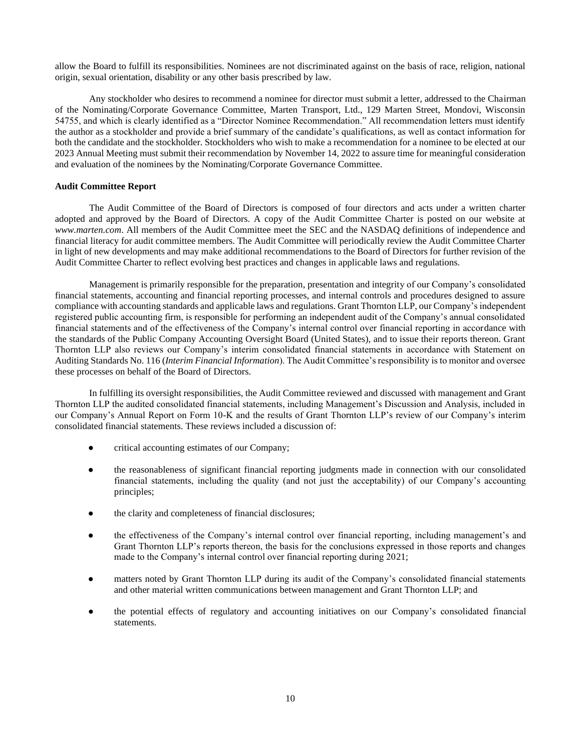allow the Board to fulfill its responsibilities. Nominees are not discriminated against on the basis of race, religion, national origin, sexual orientation, disability or any other basis prescribed by law.

Any stockholder who desires to recommend a nominee for director must submit a letter, addressed to the Chairman of the Nominating/Corporate Governance Committee, Marten Transport, Ltd., 129 Marten Street, Mondovi, Wisconsin 54755, and which is clearly identified as a "Director Nominee Recommendation." All recommendation letters must identify the author as a stockholder and provide a brief summary of the candidate's qualifications, as well as contact information for both the candidate and the stockholder. Stockholders who wish to make a recommendation for a nominee to be elected at our 2023 Annual Meeting must submit their recommendation by November 14, 2022 to assure time for meaningful consideration and evaluation of the nominees by the Nominating/Corporate Governance Committee.

# **Audit Committee Report**

The Audit Committee of the Board of Directors is composed of four directors and acts under a written charter adopted and approved by the Board of Directors. A copy of the Audit Committee Charter is posted on our website at *www.marten.com*. All members of the Audit Committee meet the SEC and the NASDAQ definitions of independence and financial literacy for audit committee members. The Audit Committee will periodically review the Audit Committee Charter in light of new developments and may make additional recommendations to the Board of Directors for further revision of the Audit Committee Charter to reflect evolving best practices and changes in applicable laws and regulations.

Management is primarily responsible for the preparation, presentation and integrity of our Company's consolidated financial statements, accounting and financial reporting processes, and internal controls and procedures designed to assure compliance with accounting standards and applicable laws and regulations. Grant Thornton LLP, our Company's independent registered public accounting firm, is responsible for performing an independent audit of the Company's annual consolidated financial statements and of the effectiveness of the Company's internal control over financial reporting in accordance with the standards of the Public Company Accounting Oversight Board (United States), and to issue their reports thereon. Grant Thornton LLP also reviews our Company's interim consolidated financial statements in accordance with Statement on Auditing Standards No. 116 (*Interim Financial Information*). The Audit Committee's responsibility is to monitor and oversee these processes on behalf of the Board of Directors.

In fulfilling its oversight responsibilities, the Audit Committee reviewed and discussed with management and Grant Thornton LLP the audited consolidated financial statements, including Management's Discussion and Analysis, included in our Company's Annual Report on Form 10-K and the results of Grant Thornton LLP's review of our Company's interim consolidated financial statements. These reviews included a discussion of:

- critical accounting estimates of our Company;
- the reasonableness of significant financial reporting judgments made in connection with our consolidated financial statements, including the quality (and not just the acceptability) of our Company's accounting principles;
- the clarity and completeness of financial disclosures;
- the effectiveness of the Company's internal control over financial reporting, including management's and Grant Thornton LLP's reports thereon, the basis for the conclusions expressed in those reports and changes made to the Company's internal control over financial reporting during 2021;
- matters noted by Grant Thornton LLP during its audit of the Company's consolidated financial statements and other material written communications between management and Grant Thornton LLP; and
- the potential effects of regulatory and accounting initiatives on our Company's consolidated financial statements.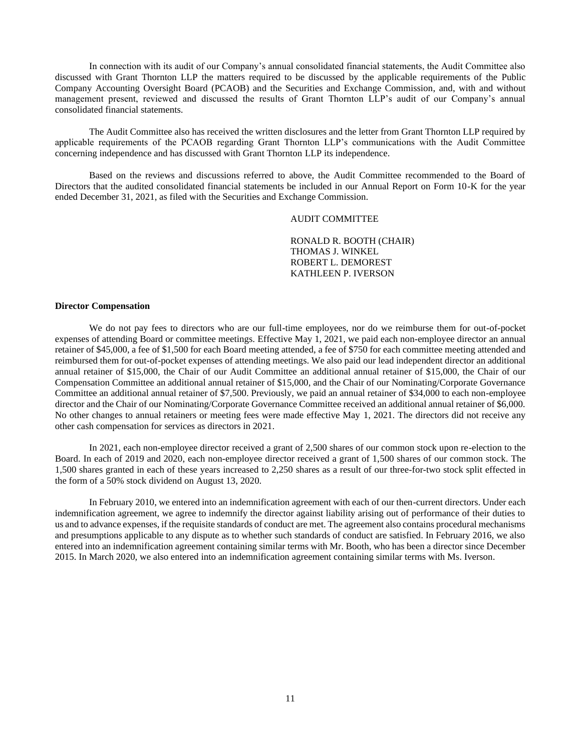In connection with its audit of our Company's annual consolidated financial statements, the Audit Committee also discussed with Grant Thornton LLP the matters required to be discussed by the applicable requirements of the Public Company Accounting Oversight Board (PCAOB) and the Securities and Exchange Commission, and, with and without management present, reviewed and discussed the results of Grant Thornton LLP's audit of our Company's annual consolidated financial statements.

The Audit Committee also has received the written disclosures and the letter from Grant Thornton LLP required by applicable requirements of the PCAOB regarding Grant Thornton LLP's communications with the Audit Committee concerning independence and has discussed with Grant Thornton LLP its independence.

Based on the reviews and discussions referred to above, the Audit Committee recommended to the Board of Directors that the audited consolidated financial statements be included in our Annual Report on Form 10-K for the year ended December 31, 2021, as filed with the Securities and Exchange Commission.

# AUDIT COMMITTEE

RONALD R. BOOTH (CHAIR) THOMAS J. WINKEL ROBERT L. DEMOREST KATHLEEN P. IVERSON

### **Director Compensation**

We do not pay fees to directors who are our full-time employees, nor do we reimburse them for out-of-pocket expenses of attending Board or committee meetings. Effective May 1, 2021, we paid each non-employee director an annual retainer of \$45,000, a fee of \$1,500 for each Board meeting attended, a fee of \$750 for each committee meeting attended and reimbursed them for out-of-pocket expenses of attending meetings. We also paid our lead independent director an additional annual retainer of \$15,000, the Chair of our Audit Committee an additional annual retainer of \$15,000, the Chair of our Compensation Committee an additional annual retainer of \$15,000, and the Chair of our Nominating/Corporate Governance Committee an additional annual retainer of \$7,500. Previously, we paid an annual retainer of \$34,000 to each non-employee director and the Chair of our Nominating/Corporate Governance Committee received an additional annual retainer of \$6,000. No other changes to annual retainers or meeting fees were made effective May 1, 2021. The directors did not receive any other cash compensation for services as directors in 2021.

In 2021, each non-employee director received a grant of 2,500 shares of our common stock upon re-election to the Board. In each of 2019 and 2020, each non-employee director received a grant of 1,500 shares of our common stock. The 1,500 shares granted in each of these years increased to 2,250 shares as a result of our three-for-two stock split effected in the form of a 50% stock dividend on August 13, 2020.

In February 2010, we entered into an indemnification agreement with each of our then-current directors. Under each indemnification agreement, we agree to indemnify the director against liability arising out of performance of their duties to us and to advance expenses, if the requisite standards of conduct are met. The agreement also contains procedural mechanisms and presumptions applicable to any dispute as to whether such standards of conduct are satisfied. In February 2016, we also entered into an indemnification agreement containing similar terms with Mr. Booth, who has been a director since December 2015. In March 2020, we also entered into an indemnification agreement containing similar terms with Ms. Iverson.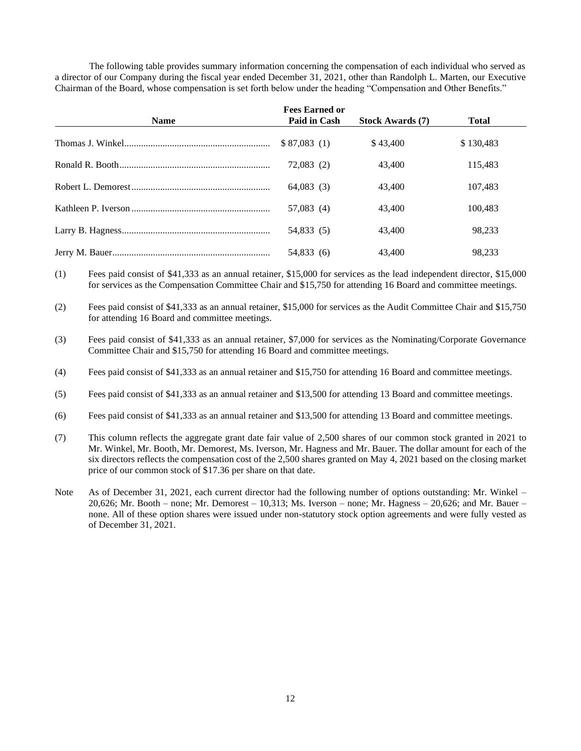The following table provides summary information concerning the compensation of each individual who served as a director of our Company during the fiscal year ended December 31, 2021, other than Randolph L. Marten, our Executive Chairman of the Board, whose compensation is set forth below under the heading "Compensation and Other Benefits."

| <b>Name</b> | <b>Fees Earned or</b><br>Paid in Cash | <b>Stock Awards</b> (7) | <b>Total</b> |
|-------------|---------------------------------------|-------------------------|--------------|
|             | \$87,083(1)                           | \$43,400                | \$130,483    |
|             | 72,083(2)                             | 43,400                  | 115.483      |
|             | 64,083(3)                             | 43,400                  | 107,483      |
|             | 57,083(4)                             | 43,400                  | 100.483      |
|             | 54,833 (5)                            | 43,400                  | 98.233       |
|             | 54,833 (6)                            | 43,400                  | 98.233       |

(1) Fees paid consist of \$41,333 as an annual retainer, \$15,000 for services as the lead independent director, \$15,000 for services as the Compensation Committee Chair and \$15,750 for attending 16 Board and committee meetings.

(2) Fees paid consist of \$41,333 as an annual retainer, \$15,000 for services as the Audit Committee Chair and \$15,750 for attending 16 Board and committee meetings.

(3) Fees paid consist of \$41,333 as an annual retainer, \$7,000 for services as the Nominating/Corporate Governance Committee Chair and \$15,750 for attending 16 Board and committee meetings.

(4) Fees paid consist of \$41,333 as an annual retainer and \$15,750 for attending 16 Board and committee meetings.

(5) Fees paid consist of \$41,333 as an annual retainer and \$13,500 for attending 13 Board and committee meetings.

(6) Fees paid consist of \$41,333 as an annual retainer and \$13,500 for attending 13 Board and committee meetings.

(7) This column reflects the aggregate grant date fair value of 2,500 shares of our common stock granted in 2021 to Mr. Winkel, Mr. Booth, Mr. Demorest, Ms. Iverson, Mr. Hagness and Mr. Bauer. The dollar amount for each of the six directors reflects the compensation cost of the 2,500 shares granted on May 4, 2021 based on the closing market price of our common stock of \$17.36 per share on that date.

Note As of December 31, 2021, each current director had the following number of options outstanding: Mr. Winkel –  $20,626$ ; Mr. Booth – none; Mr. Demorest – 10,313; Ms. Iverson – none; Mr. Hagness –  $20,626$ ; and Mr. Bauer – none. All of these option shares were issued under non-statutory stock option agreements and were fully vested as of December 31, 2021.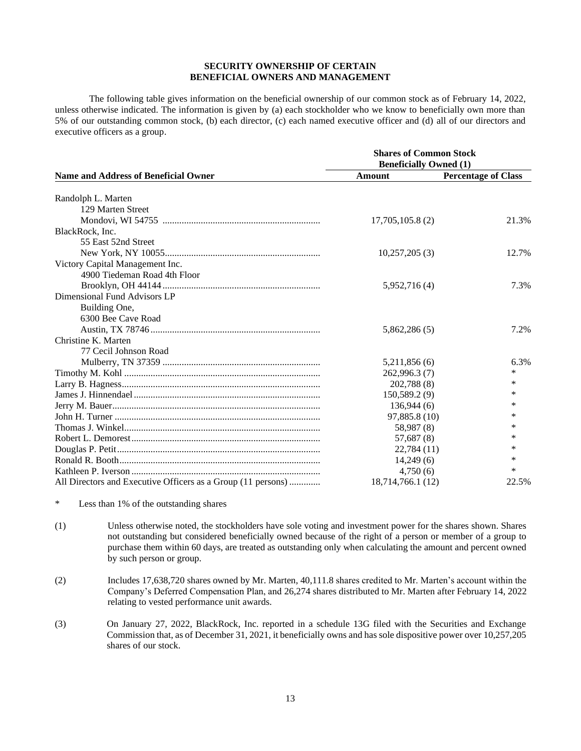# **SECURITY OWNERSHIP OF CERTAIN BENEFICIAL OWNERS AND MANAGEMENT**

The following table gives information on the beneficial ownership of our common stock as of February 14, 2022, unless otherwise indicated. The information is given by (a) each stockholder who we know to beneficially own more than 5% of our outstanding common stock, (b) each director, (c) each named executive officer and (d) all of our directors and executive officers as a group.

|                                                              | <b>Shares of Common Stock</b> |                            |  |  |  |  |
|--------------------------------------------------------------|-------------------------------|----------------------------|--|--|--|--|
|                                                              | <b>Beneficially Owned (1)</b> |                            |  |  |  |  |
| <b>Name and Address of Beneficial Owner</b>                  | Amount                        | <b>Percentage of Class</b> |  |  |  |  |
|                                                              |                               |                            |  |  |  |  |
| Randolph L. Marten                                           |                               |                            |  |  |  |  |
| 129 Marten Street                                            |                               |                            |  |  |  |  |
|                                                              | 17,705,105.8(2)               | 21.3%                      |  |  |  |  |
| BlackRock, Inc.                                              |                               |                            |  |  |  |  |
| 55 East 52nd Street                                          |                               |                            |  |  |  |  |
|                                                              | 10,257,205(3)                 | 12.7%                      |  |  |  |  |
| Victory Capital Management Inc.                              |                               |                            |  |  |  |  |
| 4900 Tiedeman Road 4th Floor                                 |                               |                            |  |  |  |  |
|                                                              | 5,952,716 (4)                 | 7.3%                       |  |  |  |  |
| Dimensional Fund Advisors LP                                 |                               |                            |  |  |  |  |
| Building One,                                                |                               |                            |  |  |  |  |
| 6300 Bee Cave Road                                           |                               |                            |  |  |  |  |
|                                                              | 5,862,286 (5)                 | 7.2%                       |  |  |  |  |
| Christine K. Marten                                          |                               |                            |  |  |  |  |
| 77 Cecil Johnson Road                                        |                               |                            |  |  |  |  |
|                                                              | 5,211,856 (6)                 | 6.3%                       |  |  |  |  |
|                                                              | 262,996.3 (7)                 | $\ast$                     |  |  |  |  |
|                                                              | 202,788 (8)                   | *                          |  |  |  |  |
|                                                              | 150,589.2(9)                  | *                          |  |  |  |  |
|                                                              | 136,944(6)                    | *                          |  |  |  |  |
|                                                              | 97,885.8 (10)                 | $\ast$                     |  |  |  |  |
|                                                              | 58,987 (8)                    | *                          |  |  |  |  |
|                                                              | 57,687 (8)                    | *                          |  |  |  |  |
|                                                              | 22,784(11)                    | *                          |  |  |  |  |
|                                                              | 14,249(6)                     | *                          |  |  |  |  |
|                                                              | 4,750(6)                      | $\ast$                     |  |  |  |  |
| All Directors and Executive Officers as a Group (11 persons) | 18,714,766.1 (12)             | 22.5%                      |  |  |  |  |

\* Less than 1% of the outstanding shares

- (1) Unless otherwise noted, the stockholders have sole voting and investment power for the shares shown. Shares not outstanding but considered beneficially owned because of the right of a person or member of a group to purchase them within 60 days, are treated as outstanding only when calculating the amount and percent owned by such person or group.
- (2) Includes 17,638,720 shares owned by Mr. Marten, 40,111.8 shares credited to Mr. Marten's account within the Company's Deferred Compensation Plan, and 26,274 shares distributed to Mr. Marten after February 14, 2022 relating to vested performance unit awards.
- (3) On January 27, 2022, BlackRock, Inc. reported in a schedule 13G filed with the Securities and Exchange Commission that, as of December 31, 2021, it beneficially owns and has sole dispositive power over 10,257,205 shares of our stock.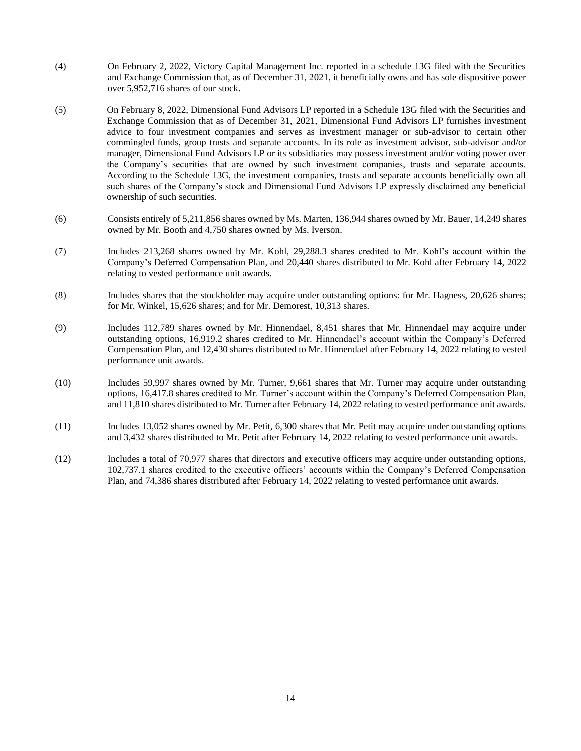- (4) On February 2, 2022, Victory Capital Management Inc. reported in a schedule 13G filed with the Securities and Exchange Commission that, as of December 31, 2021, it beneficially owns and has sole dispositive power over 5,952,716 shares of our stock.
- (5) On February 8, 2022, Dimensional Fund Advisors LP reported in a Schedule 13G filed with the Securities and Exchange Commission that as of December 31, 2021, Dimensional Fund Advisors LP furnishes investment advice to four investment companies and serves as investment manager or sub-advisor to certain other commingled funds, group trusts and separate accounts. In its role as investment advisor, sub-advisor and/or manager, Dimensional Fund Advisors LP or its subsidiaries may possess investment and/or voting power over the Company's securities that are owned by such investment companies, trusts and separate accounts. According to the Schedule 13G, the investment companies, trusts and separate accounts beneficially own all such shares of the Company's stock and Dimensional Fund Advisors LP expressly disclaimed any beneficial ownership of such securities.
- (6) Consists entirely of 5,211,856 shares owned by Ms. Marten, 136,944 shares owned by Mr. Bauer, 14,249 shares owned by Mr. Booth and 4,750 shares owned by Ms. Iverson.
- (7) Includes 213,268 shares owned by Mr. Kohl, 29,288.3 shares credited to Mr. Kohl's account within the Company's Deferred Compensation Plan, and 20,440 shares distributed to Mr. Kohl after February 14, 2022 relating to vested performance unit awards.
- (8) Includes shares that the stockholder may acquire under outstanding options: for Mr. Hagness, 20,626 shares; for Mr. Winkel, 15,626 shares; and for Mr. Demorest, 10,313 shares.
- (9) Includes 112,789 shares owned by Mr. Hinnendael, 8,451 shares that Mr. Hinnendael may acquire under outstanding options, 16,919.2 shares credited to Mr. Hinnendael's account within the Company's Deferred Compensation Plan, and 12,430 shares distributed to Mr. Hinnendael after February 14, 2022 relating to vested performance unit awards.
- (10) Includes 59,997 shares owned by Mr. Turner, 9,661 shares that Mr. Turner may acquire under outstanding options, 16,417.8 shares credited to Mr. Turner's account within the Company's Deferred Compensation Plan, and 11,810 shares distributed to Mr. Turner after February 14, 2022 relating to vested performance unit awards.
- (11) Includes 13,052 shares owned by Mr. Petit, 6,300 shares that Mr. Petit may acquire under outstanding options and 3,432 shares distributed to Mr. Petit after February 14, 2022 relating to vested performance unit awards.
- (12) Includes a total of 70,977 shares that directors and executive officers may acquire under outstanding options, 102,737.1 shares credited to the executive officers' accounts within the Company's Deferred Compensation Plan, and 74,386 shares distributed after February 14, 2022 relating to vested performance unit awards.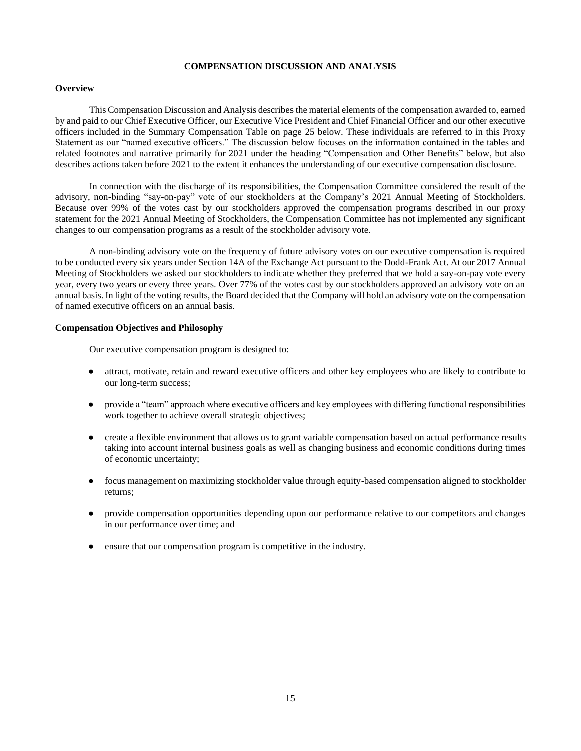# **COMPENSATION DISCUSSION AND ANALYSIS**

# **Overview**

This Compensation Discussion and Analysis describes the material elements of the compensation awarded to, earned by and paid to our Chief Executive Officer, our Executive Vice President and Chief Financial Officer and our other executive officers included in the Summary Compensation Table on page 25 below. These individuals are referred to in this Proxy Statement as our "named executive officers." The discussion below focuses on the information contained in the tables and related footnotes and narrative primarily for 2021 under the heading "Compensation and Other Benefits" below, but also describes actions taken before 2021 to the extent it enhances the understanding of our executive compensation disclosure.

In connection with the discharge of its responsibilities, the Compensation Committee considered the result of the advisory, non-binding "say-on-pay" vote of our stockholders at the Company's 2021 Annual Meeting of Stockholders. Because over 99% of the votes cast by our stockholders approved the compensation programs described in our proxy statement for the 2021 Annual Meeting of Stockholders, the Compensation Committee has not implemented any significant changes to our compensation programs as a result of the stockholder advisory vote.

A non-binding advisory vote on the frequency of future advisory votes on our executive compensation is required to be conducted every six years under Section 14A of the Exchange Act pursuant to the Dodd-Frank Act. At our 2017 Annual Meeting of Stockholders we asked our stockholders to indicate whether they preferred that we hold a say-on-pay vote every year, every two years or every three years. Over 77% of the votes cast by our stockholders approved an advisory vote on an annual basis. In light of the voting results, the Board decided that the Company will hold an advisory vote on the compensation of named executive officers on an annual basis.

# **Compensation Objectives and Philosophy**

Our executive compensation program is designed to:

- attract, motivate, retain and reward executive officers and other key employees who are likely to contribute to our long-term success;
- provide a "team" approach where executive officers and key employees with differing functional responsibilities work together to achieve overall strategic objectives;
- create a flexible environment that allows us to grant variable compensation based on actual performance results taking into account internal business goals as well as changing business and economic conditions during times of economic uncertainty;
- focus management on maximizing stockholder value through equity-based compensation aligned to stockholder returns;
- provide compensation opportunities depending upon our performance relative to our competitors and changes in our performance over time; and
- ensure that our compensation program is competitive in the industry.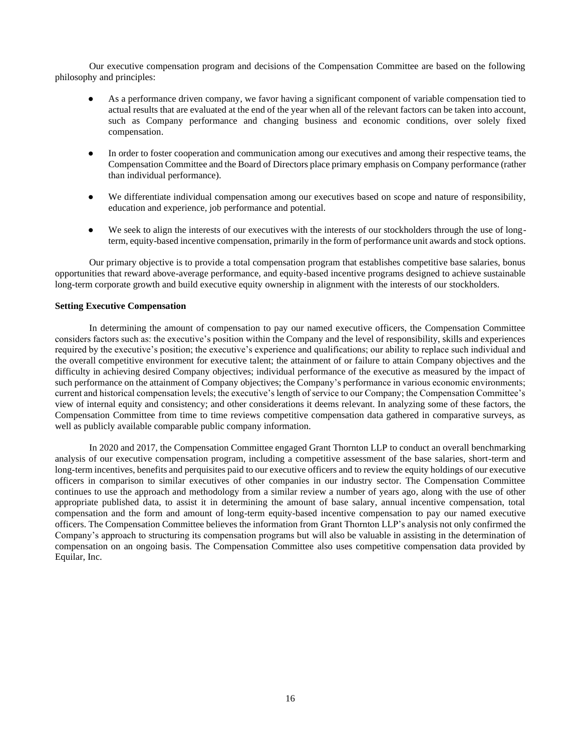Our executive compensation program and decisions of the Compensation Committee are based on the following philosophy and principles:

- As a performance driven company, we favor having a significant component of variable compensation tied to actual results that are evaluated at the end of the year when all of the relevant factors can be taken into account, such as Company performance and changing business and economic conditions, over solely fixed compensation.
- In order to foster cooperation and communication among our executives and among their respective teams, the Compensation Committee and the Board of Directors place primary emphasis on Company performance (rather than individual performance).
- We differentiate individual compensation among our executives based on scope and nature of responsibility, education and experience, job performance and potential.
- We seek to align the interests of our executives with the interests of our stockholders through the use of longterm, equity-based incentive compensation, primarily in the form of performance unit awards and stock options.

Our primary objective is to provide a total compensation program that establishes competitive base salaries, bonus opportunities that reward above-average performance, and equity-based incentive programs designed to achieve sustainable long-term corporate growth and build executive equity ownership in alignment with the interests of our stockholders.

# **Setting Executive Compensation**

In determining the amount of compensation to pay our named executive officers, the Compensation Committee considers factors such as: the executive's position within the Company and the level of responsibility, skills and experiences required by the executive's position; the executive's experience and qualifications; our ability to replace such individual and the overall competitive environment for executive talent; the attainment of or failure to attain Company objectives and the difficulty in achieving desired Company objectives; individual performance of the executive as measured by the impact of such performance on the attainment of Company objectives; the Company's performance in various economic environments; current and historical compensation levels; the executive's length of service to our Company; the Compensation Committee's view of internal equity and consistency; and other considerations it deems relevant. In analyzing some of these factors, the Compensation Committee from time to time reviews competitive compensation data gathered in comparative surveys, as well as publicly available comparable public company information.

In 2020 and 2017, the Compensation Committee engaged Grant Thornton LLP to conduct an overall benchmarking analysis of our executive compensation program, including a competitive assessment of the base salaries, short-term and long-term incentives, benefits and perquisites paid to our executive officers and to review the equity holdings of our executive officers in comparison to similar executives of other companies in our industry sector. The Compensation Committee continues to use the approach and methodology from a similar review a number of years ago, along with the use of other appropriate published data, to assist it in determining the amount of base salary, annual incentive compensation, total compensation and the form and amount of long-term equity-based incentive compensation to pay our named executive officers. The Compensation Committee believes the information from Grant Thornton LLP's analysis not only confirmed the Company's approach to structuring its compensation programs but will also be valuable in assisting in the determination of compensation on an ongoing basis. The Compensation Committee also uses competitive compensation data provided by Equilar, Inc.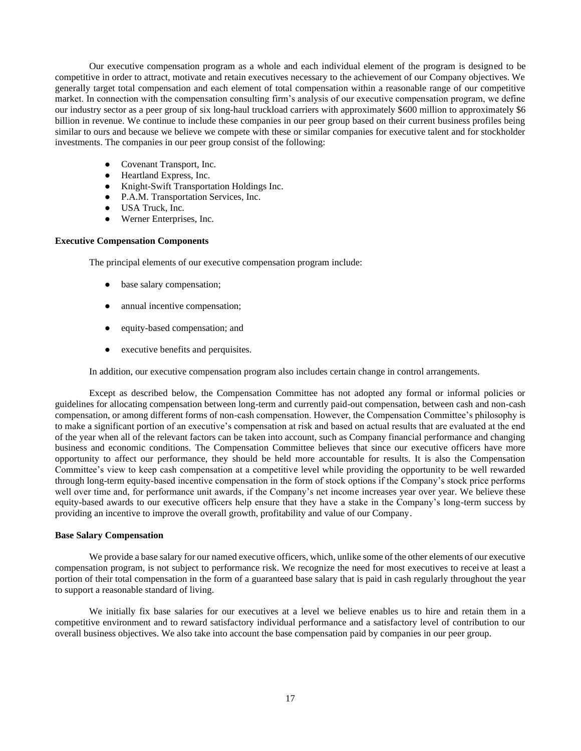Our executive compensation program as a whole and each individual element of the program is designed to be competitive in order to attract, motivate and retain executives necessary to the achievement of our Company objectives. We generally target total compensation and each element of total compensation within a reasonable range of our competitive market. In connection with the compensation consulting firm's analysis of our executive compensation program, we define our industry sector as a peer group of six long-haul truckload carriers with approximately \$600 million to approximately \$6 billion in revenue. We continue to include these companies in our peer group based on their current business profiles being similar to ours and because we believe we compete with these or similar companies for executive talent and for stockholder investments. The companies in our peer group consist of the following:

- Covenant Transport, Inc.
- Heartland Express, Inc.
- Knight-Swift Transportation Holdings Inc.
- P.A.M. Transportation Services, Inc.
- USA Truck, Inc.
- Werner Enterprises, Inc.

# **Executive Compensation Components**

The principal elements of our executive compensation program include:

- base salary compensation;
- annual incentive compensation;
- equity-based compensation; and
- executive benefits and perquisites.

In addition, our executive compensation program also includes certain change in control arrangements.

Except as described below, the Compensation Committee has not adopted any formal or informal policies or guidelines for allocating compensation between long-term and currently paid-out compensation, between cash and non-cash compensation, or among different forms of non-cash compensation. However, the Compensation Committee's philosophy is to make a significant portion of an executive's compensation at risk and based on actual results that are evaluated at the end of the year when all of the relevant factors can be taken into account, such as Company financial performance and changing business and economic conditions. The Compensation Committee believes that since our executive officers have more opportunity to affect our performance, they should be held more accountable for results. It is also the Compensation Committee's view to keep cash compensation at a competitive level while providing the opportunity to be well rewarded through long-term equity-based incentive compensation in the form of stock options if the Company's stock price performs well over time and, for performance unit awards, if the Company's net income increases year over year. We believe these equity-based awards to our executive officers help ensure that they have a stake in the Company's long-term success by providing an incentive to improve the overall growth, profitability and value of our Company.

# **Base Salary Compensation**

We provide a base salary for our named executive officers, which, unlike some of the other elements of our executive compensation program, is not subject to performance risk. We recognize the need for most executives to receive at least a portion of their total compensation in the form of a guaranteed base salary that is paid in cash regularly throughout the year to support a reasonable standard of living.

We initially fix base salaries for our executives at a level we believe enables us to hire and retain them in a competitive environment and to reward satisfactory individual performance and a satisfactory level of contribution to our overall business objectives. We also take into account the base compensation paid by companies in our peer group.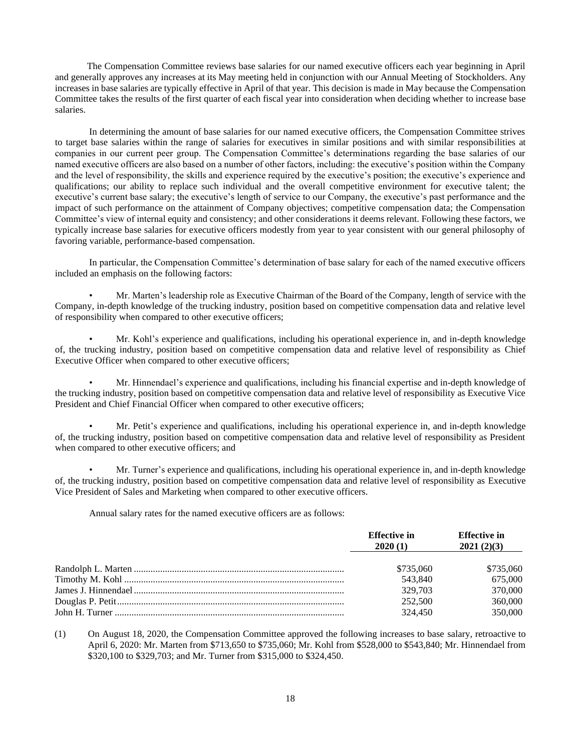The Compensation Committee reviews base salaries for our named executive officers each year beginning in April and generally approves any increases at its May meeting held in conjunction with our Annual Meeting of Stockholders. Any increases in base salaries are typically effective in April of that year. This decision is made in May because the Compensation Committee takes the results of the first quarter of each fiscal year into consideration when deciding whether to increase base salaries.

In determining the amount of base salaries for our named executive officers, the Compensation Committee strives to target base salaries within the range of salaries for executives in similar positions and with similar responsibilities at companies in our current peer group. The Compensation Committee's determinations regarding the base salaries of our named executive officers are also based on a number of other factors, including: the executive's position within the Company and the level of responsibility, the skills and experience required by the executive's position; the executive's experience and qualifications; our ability to replace such individual and the overall competitive environment for executive talent; the executive's current base salary; the executive's length of service to our Company, the executive's past performance and the impact of such performance on the attainment of Company objectives; competitive compensation data; the Compensation Committee's view of internal equity and consistency; and other considerations it deems relevant. Following these factors, we typically increase base salaries for executive officers modestly from year to year consistent with our general philosophy of favoring variable, performance-based compensation.

In particular, the Compensation Committee's determination of base salary for each of the named executive officers included an emphasis on the following factors:

• Mr. Marten's leadership role as Executive Chairman of the Board of the Company, length of service with the Company, in-depth knowledge of the trucking industry, position based on competitive compensation data and relative level of responsibility when compared to other executive officers;

• Mr. Kohl's experience and qualifications, including his operational experience in, and in-depth knowledge of, the trucking industry, position based on competitive compensation data and relative level of responsibility as Chief Executive Officer when compared to other executive officers;

• Mr. Hinnendael's experience and qualifications, including his financial expertise and in-depth knowledge of the trucking industry, position based on competitive compensation data and relative level of responsibility as Executive Vice President and Chief Financial Officer when compared to other executive officers;

• Mr. Petit's experience and qualifications, including his operational experience in, and in-depth knowledge of, the trucking industry, position based on competitive compensation data and relative level of responsibility as President when compared to other executive officers; and

• Mr. Turner's experience and qualifications, including his operational experience in, and in-depth knowledge of, the trucking industry, position based on competitive compensation data and relative level of responsibility as Executive Vice President of Sales and Marketing when compared to other executive officers.

Annual salary rates for the named executive officers are as follows:

| <b>Effective in</b><br>2020(1) | <b>Effective in</b><br>2021(2)(3) |
|--------------------------------|-----------------------------------|
| \$735,060                      | \$735,060                         |
| 543,840                        | 675,000                           |
| 329,703                        | 370,000                           |
| 252,500                        | 360,000                           |
| 324,450                        | 350,000                           |

(1) On August 18, 2020, the Compensation Committee approved the following increases to base salary, retroactive to April 6, 2020: Mr. Marten from \$713,650 to \$735,060; Mr. Kohl from \$528,000 to \$543,840; Mr. Hinnendael from \$320,100 to \$329,703; and Mr. Turner from \$315,000 to \$324,450.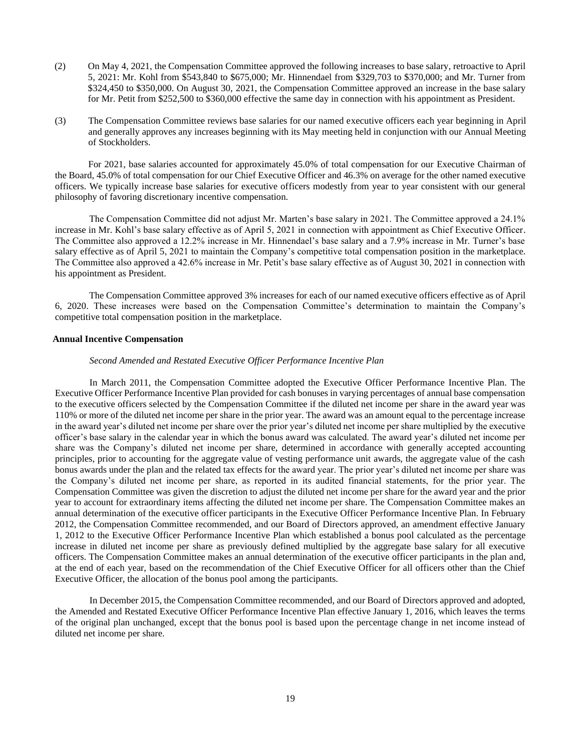- (2) On May 4, 2021, the Compensation Committee approved the following increases to base salary, retroactive to April 5, 2021: Mr. Kohl from \$543,840 to \$675,000; Mr. Hinnendael from \$329,703 to \$370,000; and Mr. Turner from \$324,450 to \$350,000. On August 30, 2021, the Compensation Committee approved an increase in the base salary for Mr. Petit from \$252,500 to \$360,000 effective the same day in connection with his appointment as President.
- (3) The Compensation Committee reviews base salaries for our named executive officers each year beginning in April and generally approves any increases beginning with its May meeting held in conjunction with our Annual Meeting of Stockholders.

 For 2021, base salaries accounted for approximately 45.0% of total compensation for our Executive Chairman of the Board, 45.0% of total compensation for our Chief Executive Officer and 46.3% on average for the other named executive officers. We typically increase base salaries for executive officers modestly from year to year consistent with our general philosophy of favoring discretionary incentive compensation.

The Compensation Committee did not adjust Mr. Marten's base salary in 2021. The Committee approved a 24.1% increase in Mr. Kohl's base salary effective as of April 5, 2021 in connection with appointment as Chief Executive Officer. The Committee also approved a 12.2% increase in Mr. Hinnendael's base salary and a 7.9% increase in Mr. Turner's base salary effective as of April 5, 2021 to maintain the Company's competitive total compensation position in the marketplace. The Committee also approved a 42.6% increase in Mr. Petit's base salary effective as of August 30, 2021 in connection with his appointment as President.

The Compensation Committee approved 3% increases for each of our named executive officers effective as of April 6, 2020. These increases were based on the Compensation Committee's determination to maintain the Company's competitive total compensation position in the marketplace.

# **Annual Incentive Compensation**

# *Second Amended and Restated Executive Officer Performance Incentive Plan*

 In March 2011, the Compensation Committee adopted the Executive Officer Performance Incentive Plan. The Executive Officer Performance Incentive Plan provided for cash bonuses in varying percentages of annual base compensation to the executive officers selected by the Compensation Committee if the diluted net income per share in the award year was 110% or more of the diluted net income per share in the prior year. The award was an amount equal to the percentage increase in the award year's diluted net income per share over the prior year's diluted net income per share multiplied by the executive officer's base salary in the calendar year in which the bonus award was calculated. The award year's diluted net income per share was the Company's diluted net income per share, determined in accordance with generally accepted accounting principles, prior to accounting for the aggregate value of vesting performance unit awards, the aggregate value of the cash bonus awards under the plan and the related tax effects for the award year. The prior year's diluted net income per share was the Company's diluted net income per share, as reported in its audited financial statements, for the prior year. The Compensation Committee was given the discretion to adjust the diluted net income per share for the award year and the prior year to account for extraordinary items affecting the diluted net income per share. The Compensation Committee makes an annual determination of the executive officer participants in the Executive Officer Performance Incentive Plan. In February 2012, the Compensation Committee recommended, and our Board of Directors approved, an amendment effective January 1, 2012 to the Executive Officer Performance Incentive Plan which established a bonus pool calculated as the percentage increase in diluted net income per share as previously defined multiplied by the aggregate base salary for all executive officers. The Compensation Committee makes an annual determination of the executive officer participants in the plan and, at the end of each year, based on the recommendation of the Chief Executive Officer for all officers other than the Chief Executive Officer, the allocation of the bonus pool among the participants.

 In December 2015, the Compensation Committee recommended, and our Board of Directors approved and adopted, the Amended and Restated Executive Officer Performance Incentive Plan effective January 1, 2016, which leaves the terms of the original plan unchanged, except that the bonus pool is based upon the percentage change in net income instead of diluted net income per share.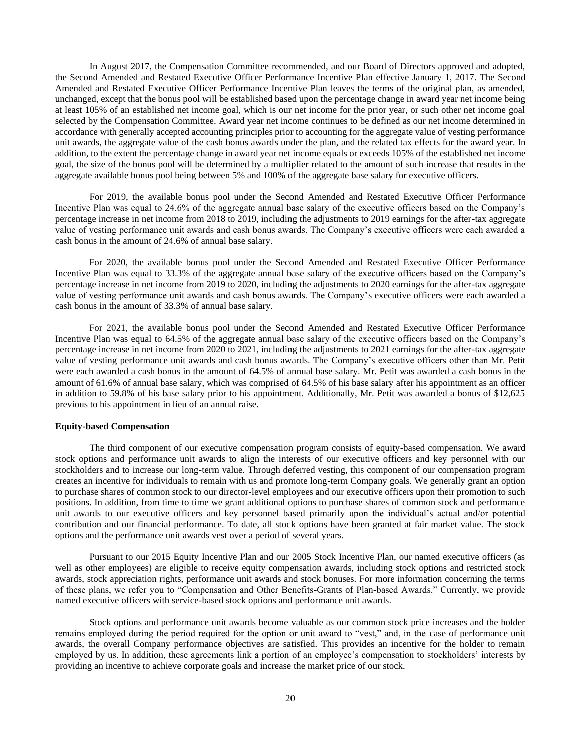In August 2017, the Compensation Committee recommended, and our Board of Directors approved and adopted, the Second Amended and Restated Executive Officer Performance Incentive Plan effective January 1, 2017. The Second Amended and Restated Executive Officer Performance Incentive Plan leaves the terms of the original plan, as amended, unchanged, except that the bonus pool will be established based upon the percentage change in award year net income being at least 105% of an established net income goal, which is our net income for the prior year, or such other net income goal selected by the Compensation Committee. Award year net income continues to be defined as our net income determined in accordance with generally accepted accounting principles prior to accounting for the aggregate value of vesting performance unit awards, the aggregate value of the cash bonus awards under the plan, and the related tax effects for the award year. In addition, to the extent the percentage change in award year net income equals or exceeds 105% of the established net income goal, the size of the bonus pool will be determined by a multiplier related to the amount of such increase that results in the aggregate available bonus pool being between 5% and 100% of the aggregate base salary for executive officers.

 For 2019, the available bonus pool under the Second Amended and Restated Executive Officer Performance Incentive Plan was equal to 24.6% of the aggregate annual base salary of the executive officers based on the Company's percentage increase in net income from 2018 to 2019, including the adjustments to 2019 earnings for the after-tax aggregate value of vesting performance unit awards and cash bonus awards. The Company's executive officers were each awarded a cash bonus in the amount of 24.6% of annual base salary.

For 2020, the available bonus pool under the Second Amended and Restated Executive Officer Performance Incentive Plan was equal to 33.3% of the aggregate annual base salary of the executive officers based on the Company's percentage increase in net income from 2019 to 2020, including the adjustments to 2020 earnings for the after-tax aggregate value of vesting performance unit awards and cash bonus awards. The Company's executive officers were each awarded a cash bonus in the amount of 33.3% of annual base salary.

For 2021, the available bonus pool under the Second Amended and Restated Executive Officer Performance Incentive Plan was equal to 64.5% of the aggregate annual base salary of the executive officers based on the Company's percentage increase in net income from 2020 to 2021, including the adjustments to 2021 earnings for the after-tax aggregate value of vesting performance unit awards and cash bonus awards. The Company's executive officers other than Mr. Petit were each awarded a cash bonus in the amount of 64.5% of annual base salary. Mr. Petit was awarded a cash bonus in the amount of 61.6% of annual base salary, which was comprised of 64.5% of his base salary after his appointment as an officer in addition to 59.8% of his base salary prior to his appointment. Additionally, Mr. Petit was awarded a bonus of \$12,625 previous to his appointment in lieu of an annual raise.

### **Equity-based Compensation**

 The third component of our executive compensation program consists of equity-based compensation. We award stock options and performance unit awards to align the interests of our executive officers and key personnel with our stockholders and to increase our long-term value. Through deferred vesting, this component of our compensation program creates an incentive for individuals to remain with us and promote long-term Company goals. We generally grant an option to purchase shares of common stock to our director-level employees and our executive officers upon their promotion to such positions. In addition, from time to time we grant additional options to purchase shares of common stock and performance unit awards to our executive officers and key personnel based primarily upon the individual's actual and/or potential contribution and our financial performance. To date, all stock options have been granted at fair market value. The stock options and the performance unit awards vest over a period of several years.

 Pursuant to our 2015 Equity Incentive Plan and our 2005 Stock Incentive Plan, our named executive officers (as well as other employees) are eligible to receive equity compensation awards, including stock options and restricted stock awards, stock appreciation rights, performance unit awards and stock bonuses. For more information concerning the terms of these plans, we refer you to "Compensation and Other Benefits-Grants of Plan-based Awards." Currently, we provide named executive officers with service-based stock options and performance unit awards.

 Stock options and performance unit awards become valuable as our common stock price increases and the holder remains employed during the period required for the option or unit award to "vest," and, in the case of performance unit awards, the overall Company performance objectives are satisfied. This provides an incentive for the holder to remain employed by us. In addition, these agreements link a portion of an employee's compensation to stockholders' interests by providing an incentive to achieve corporate goals and increase the market price of our stock.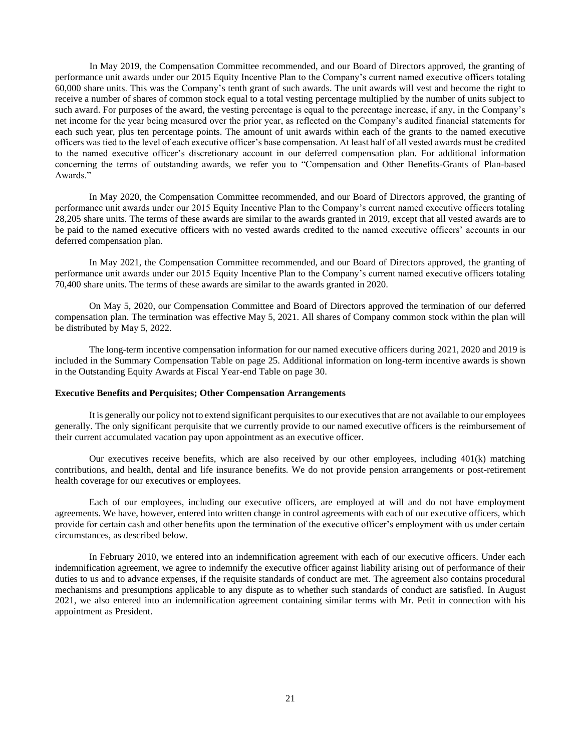In May 2019, the Compensation Committee recommended, and our Board of Directors approved, the granting of performance unit awards under our 2015 Equity Incentive Plan to the Company's current named executive officers totaling 60,000 share units. This was the Company's tenth grant of such awards. The unit awards will vest and become the right to receive a number of shares of common stock equal to a total vesting percentage multiplied by the number of units subject to such award. For purposes of the award, the vesting percentage is equal to the percentage increase, if any, in the Company's net income for the year being measured over the prior year, as reflected on the Company's audited financial statements for each such year, plus ten percentage points. The amount of unit awards within each of the grants to the named executive officers was tied to the level of each executive officer's base compensation. At least half of all vested awards must be credited to the named executive officer's discretionary account in our deferred compensation plan. For additional information concerning the terms of outstanding awards, we refer you to "Compensation and Other Benefits-Grants of Plan-based Awards."

In May 2020, the Compensation Committee recommended, and our Board of Directors approved, the granting of performance unit awards under our 2015 Equity Incentive Plan to the Company's current named executive officers totaling 28,205 share units. The terms of these awards are similar to the awards granted in 2019, except that all vested awards are to be paid to the named executive officers with no vested awards credited to the named executive officers' accounts in our deferred compensation plan.

In May 2021, the Compensation Committee recommended, and our Board of Directors approved, the granting of performance unit awards under our 2015 Equity Incentive Plan to the Company's current named executive officers totaling 70,400 share units. The terms of these awards are similar to the awards granted in 2020.

On May 5, 2020, our Compensation Committee and Board of Directors approved the termination of our deferred compensation plan. The termination was effective May 5, 2021. All shares of Company common stock within the plan will be distributed by May 5, 2022.

The long-term incentive compensation information for our named executive officers during 2021, 2020 and 2019 is included in the Summary Compensation Table on page 25. Additional information on long-term incentive awards is shown in the Outstanding Equity Awards at Fiscal Year-end Table on page 30.

# **Executive Benefits and Perquisites; Other Compensation Arrangements**

It is generally our policy not to extend significant perquisites to our executives that are not available to our employees generally. The only significant perquisite that we currently provide to our named executive officers is the reimbursement of their current accumulated vacation pay upon appointment as an executive officer.

Our executives receive benefits, which are also received by our other employees, including 401(k) matching contributions, and health, dental and life insurance benefits. We do not provide pension arrangements or post-retirement health coverage for our executives or employees.

Each of our employees, including our executive officers, are employed at will and do not have employment agreements. We have, however, entered into written change in control agreements with each of our executive officers, which provide for certain cash and other benefits upon the termination of the executive officer's employment with us under certain circumstances, as described below.

In February 2010, we entered into an indemnification agreement with each of our executive officers. Under each indemnification agreement, we agree to indemnify the executive officer against liability arising out of performance of their duties to us and to advance expenses, if the requisite standards of conduct are met. The agreement also contains procedural mechanisms and presumptions applicable to any dispute as to whether such standards of conduct are satisfied. In August 2021, we also entered into an indemnification agreement containing similar terms with Mr. Petit in connection with his appointment as President.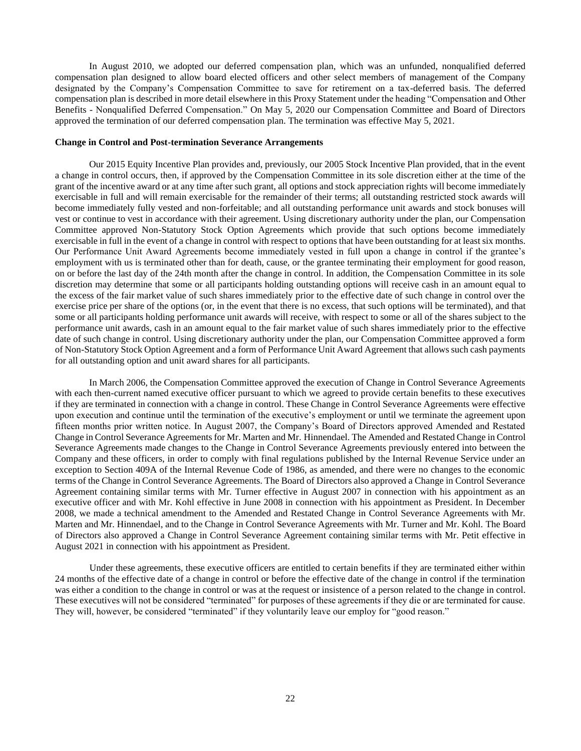In August 2010, we adopted our deferred compensation plan, which was an unfunded, nonqualified deferred compensation plan designed to allow board elected officers and other select members of management of the Company designated by the Company's Compensation Committee to save for retirement on a tax-deferred basis. The deferred compensation plan is described in more detail elsewhere in this Proxy Statement under the heading "Compensation and Other Benefits - Nonqualified Deferred Compensation." On May 5, 2020 our Compensation Committee and Board of Directors approved the termination of our deferred compensation plan. The termination was effective May 5, 2021.

#### **Change in Control and Post-termination Severance Arrangements**

Our 2015 Equity Incentive Plan provides and, previously, our 2005 Stock Incentive Plan provided, that in the event a change in control occurs, then, if approved by the Compensation Committee in its sole discretion either at the time of the grant of the incentive award or at any time after such grant, all options and stock appreciation rights will become immediately exercisable in full and will remain exercisable for the remainder of their terms; all outstanding restricted stock awards will become immediately fully vested and non-forfeitable; and all outstanding performance unit awards and stock bonuses will vest or continue to vest in accordance with their agreement. Using discretionary authority under the plan, our Compensation Committee approved Non-Statutory Stock Option Agreements which provide that such options become immediately exercisable in full in the event of a change in control with respect to options that have been outstanding for at least six months. Our Performance Unit Award Agreements become immediately vested in full upon a change in control if the grantee's employment with us is terminated other than for death, cause, or the grantee terminating their employment for good reason, on or before the last day of the 24th month after the change in control. In addition, the Compensation Committee in its sole discretion may determine that some or all participants holding outstanding options will receive cash in an amount equal to the excess of the fair market value of such shares immediately prior to the effective date of such change in control over the exercise price per share of the options (or, in the event that there is no excess, that such options will be terminated), and that some or all participants holding performance unit awards will receive, with respect to some or all of the shares subject to the performance unit awards, cash in an amount equal to the fair market value of such shares immediately prior to the effective date of such change in control. Using discretionary authority under the plan, our Compensation Committee approved a form of Non-Statutory Stock Option Agreement and a form of Performance Unit Award Agreement that allows such cash payments for all outstanding option and unit award shares for all participants.

In March 2006, the Compensation Committee approved the execution of Change in Control Severance Agreements with each then-current named executive officer pursuant to which we agreed to provide certain benefits to these executives if they are terminated in connection with a change in control. These Change in Control Severance Agreements were effective upon execution and continue until the termination of the executive's employment or until we terminate the agreement upon fifteen months prior written notice. In August 2007, the Company's Board of Directors approved Amended and Restated Change in Control Severance Agreements for Mr. Marten and Mr. Hinnendael. The Amended and Restated Change in Control Severance Agreements made changes to the Change in Control Severance Agreements previously entered into between the Company and these officers, in order to comply with final regulations published by the Internal Revenue Service under an exception to Section 409A of the Internal Revenue Code of 1986, as amended, and there were no changes to the economic terms of the Change in Control Severance Agreements. The Board of Directors also approved a Change in Control Severance Agreement containing similar terms with Mr. Turner effective in August 2007 in connection with his appointment as an executive officer and with Mr. Kohl effective in June 2008 in connection with his appointment as President. In December 2008, we made a technical amendment to the Amended and Restated Change in Control Severance Agreements with Mr. Marten and Mr. Hinnendael, and to the Change in Control Severance Agreements with Mr. Turner and Mr. Kohl. The Board of Directors also approved a Change in Control Severance Agreement containing similar terms with Mr. Petit effective in August 2021 in connection with his appointment as President.

 Under these agreements, these executive officers are entitled to certain benefits if they are terminated either within 24 months of the effective date of a change in control or before the effective date of the change in control if the termination was either a condition to the change in control or was at the request or insistence of a person related to the change in control. These executives will not be considered "terminated" for purposes of these agreements if they die or are terminated for cause. They will, however, be considered "terminated" if they voluntarily leave our employ for "good reason."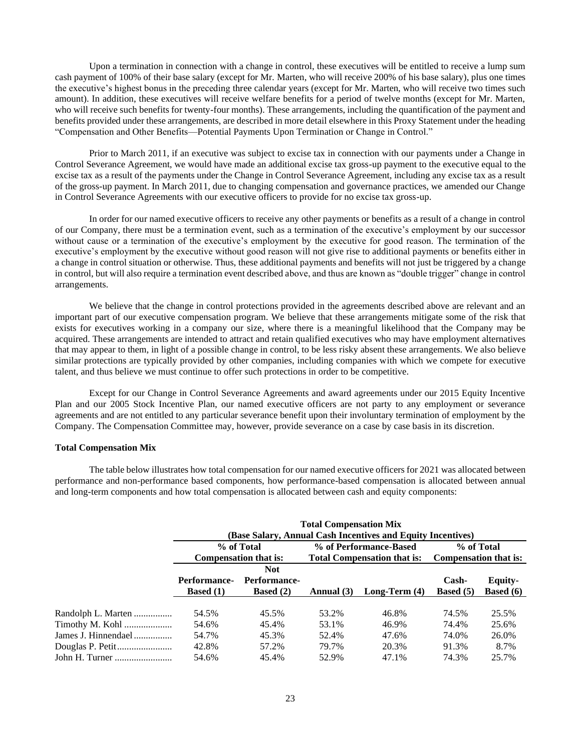Upon a termination in connection with a change in control, these executives will be entitled to receive a lump sum cash payment of 100% of their base salary (except for Mr. Marten, who will receive 200% of his base salary), plus one times the executive's highest bonus in the preceding three calendar years (except for Mr. Marten, who will receive two times such amount). In addition, these executives will receive welfare benefits for a period of twelve months (except for Mr. Marten, who will receive such benefits for twenty-four months). These arrangements, including the quantification of the payment and benefits provided under these arrangements, are described in more detail elsewhere in this Proxy Statement under the heading "Compensation and Other Benefits—Potential Payments Upon Termination or Change in Control."

Prior to March 2011, if an executive was subject to excise tax in connection with our payments under a Change in Control Severance Agreement, we would have made an additional excise tax gross-up payment to the executive equal to the excise tax as a result of the payments under the Change in Control Severance Agreement, including any excise tax as a result of the gross-up payment. In March 2011, due to changing compensation and governance practices, we amended our Change in Control Severance Agreements with our executive officers to provide for no excise tax gross-up.

In order for our named executive officers to receive any other payments or benefits as a result of a change in control of our Company, there must be a termination event, such as a termination of the executive's employment by our successor without cause or a termination of the executive's employment by the executive for good reason. The termination of the executive's employment by the executive without good reason will not give rise to additional payments or benefits either in a change in control situation or otherwise. Thus, these additional payments and benefits will not just be triggered by a change in control, but will also require a termination event described above, and thus are known as "double trigger" change in control arrangements.

We believe that the change in control protections provided in the agreements described above are relevant and an important part of our executive compensation program. We believe that these arrangements mitigate some of the risk that exists for executives working in a company our size, where there is a meaningful likelihood that the Company may be acquired. These arrangements are intended to attract and retain qualified executives who may have employment alternatives that may appear to them, in light of a possible change in control, to be less risky absent these arrangements. We also believe similar protections are typically provided by other companies, including companies with which we compete for executive talent, and thus believe we must continue to offer such protections in order to be competitive.

Except for our Change in Control Severance Agreements and award agreements under our 2015 Equity Incentive Plan and our 2005 Stock Incentive Plan, our named executive officers are not party to any employment or severance agreements and are not entitled to any particular severance benefit upon their involuntary termination of employment by the Company. The Compensation Committee may, however, provide severance on a case by case basis in its discretion.

# **Total Compensation Mix**

The table below illustrates how total compensation for our named executive officers for 2021 was allocated between performance and non-performance based components, how performance-based compensation is allocated between annual and long-term components and how total compensation is allocated between cash and equity components:

|                     | <b>Total Compensation Mix</b><br>(Base Salary, Annual Cash Incentives and Equity Incentives) |                                                |            |                                                              |                                       |                                      |  |  |  |  |
|---------------------|----------------------------------------------------------------------------------------------|------------------------------------------------|------------|--------------------------------------------------------------|---------------------------------------|--------------------------------------|--|--|--|--|
|                     |                                                                                              | % of Total<br>Compensation that is:            |            | % of Performance-Based<br><b>Total Compensation that is:</b> | % of Total<br>Compensation that is:   |                                      |  |  |  |  |
|                     | <b>Performance-</b><br><b>Based</b> $(1)$                                                    | <b>Not</b><br>Performance-<br><b>Based</b> (2) | Annual (3) | Long-Term $(4)$                                              | $\mathbf{Cash}$<br><b>Based</b> $(5)$ | <b>Equity-</b><br><b>Based</b> $(6)$ |  |  |  |  |
| Randolph L. Marten  | 54.5%                                                                                        | 45.5%                                          | 53.2%      | 46.8%                                                        | 74.5%                                 | 25.5%                                |  |  |  |  |
| Timothy M. Kohl     | 54.6%                                                                                        | 45.4%                                          | 53.1%      | 46.9%                                                        | 74.4%                                 | 25.6%                                |  |  |  |  |
| James J. Hinnendael | 54.7%                                                                                        | 45.3%                                          | 52.4%      | 47.6%                                                        | 74.0%                                 | 26.0%                                |  |  |  |  |
|                     | 42.8%                                                                                        | 57.2%                                          | 79.7%      | 20.3%                                                        | 91.3%                                 | 8.7%                                 |  |  |  |  |
| John H. Turner      | 54.6%                                                                                        | 45.4%                                          | 52.9%      | 47.1%                                                        | 74.3%                                 | 25.7%                                |  |  |  |  |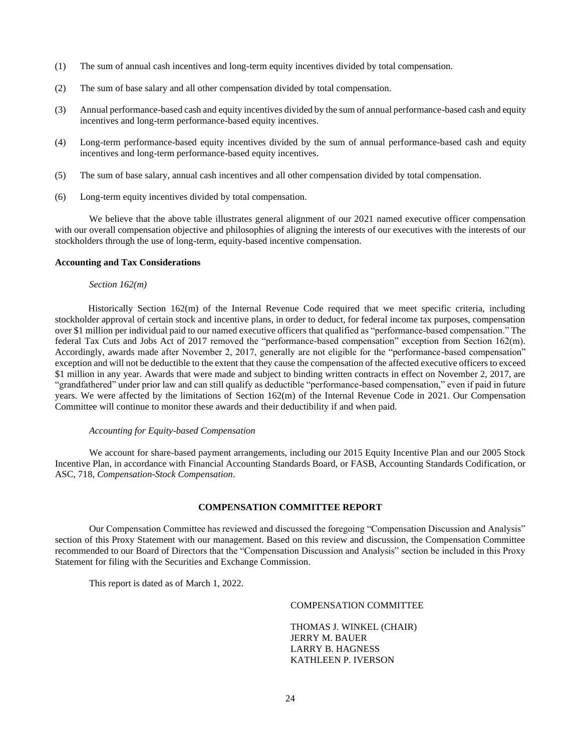- (1) The sum of annual cash incentives and long-term equity incentives divided by total compensation.
- (2) The sum of base salary and all other compensation divided by total compensation.
- (3) Annual performance-based cash and equity incentives divided by the sum of annual performance-based cash and equity incentives and long-term performance-based equity incentives.
- (4) Long-term performance-based equity incentives divided by the sum of annual performance-based cash and equity incentives and long-term performance-based equity incentives.
- (5) The sum of base salary, annual cash incentives and all other compensation divided by total compensation.
- (6) Long-term equity incentives divided by total compensation.

We believe that the above table illustrates general alignment of our 2021 named executive officer compensation with our overall compensation objective and philosophies of aligning the interests of our executives with the interests of our stockholders through the use of long-term, equity-based incentive compensation.

#### **Accounting and Tax Considerations**

#### *Section 162(m)*

 Historically Section 162(m) of the Internal Revenue Code required that we meet specific criteria, including stockholder approval of certain stock and incentive plans, in order to deduct, for federal income tax purposes, compensation over \$1 million per individual paid to our named executive officers that qualified as "performance-based compensation." The federal Tax Cuts and Jobs Act of 2017 removed the "performance-based compensation" exception from Section 162(m). Accordingly, awards made after November 2, 2017, generally are not eligible for the "performance-based compensation" exception and will not be deductible to the extent that they cause the compensation of the affected executive officers to exceed \$1 million in any year. Awards that were made and subject to binding written contracts in effect on November 2, 2017, are "grandfathered" under prior law and can still qualify as deductible "performance-based compensation," even if paid in future years. We were affected by the limitations of Section 162(m) of the Internal Revenue Code in 2021. Our Compensation Committee will continue to monitor these awards and their deductibility if and when paid.

#### *Accounting for Equity-based Compensation*

We account for share-based payment arrangements, including our 2015 Equity Incentive Plan and our 2005 Stock Incentive Plan, in accordance with Financial Accounting Standards Board, or FASB, Accounting Standards Codification, or ASC, 718, *Compensation-Stock Compensation*.

# **COMPENSATION COMMITTEE REPORT**

Our Compensation Committee has reviewed and discussed the foregoing "Compensation Discussion and Analysis" section of this Proxy Statement with our management. Based on this review and discussion, the Compensation Committee recommended to our Board of Directors that the "Compensation Discussion and Analysis" section be included in this Proxy Statement for filing with the Securities and Exchange Commission.

This report is dated as of March 1, 2022.

# COMPENSATION COMMITTEE

THOMAS J. WINKEL (CHAIR) JERRY M. BAUER LARRY B. HAGNESS KATHLEEN P. IVERSON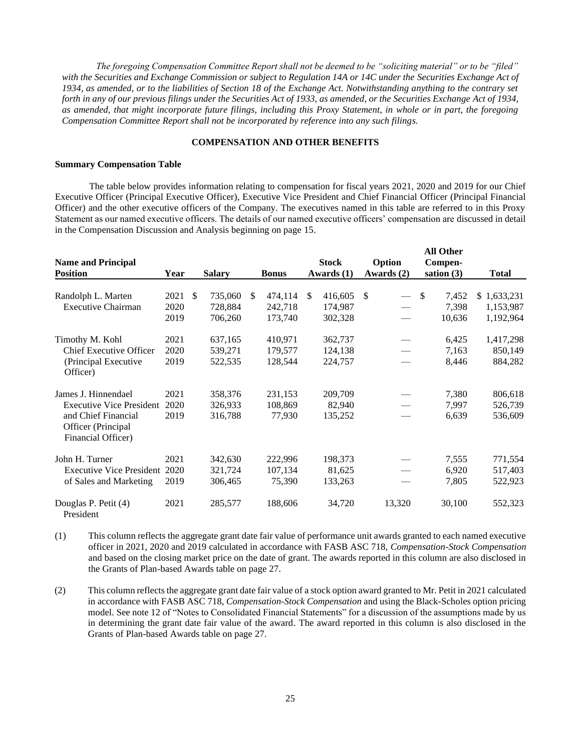*The foregoing Compensation Committee Report shall not be deemed to be "soliciting material" or to be "filed" with the Securities and Exchange Commission or subject to Regulation 14A or 14C under the Securities Exchange Act of 1934, as amended, or to the liabilities of Section 18 of the Exchange Act. Notwithstanding anything to the contrary set forth in any of our previous filings under the Securities Act of 1933, as amended, or the Securities Exchange Act of 1934, as amended, that might incorporate future filings, including this Proxy Statement, in whole or in part, the foregoing Compensation Committee Report shall not be incorporated by reference into any such filings.*

# **COMPENSATION AND OTHER BENEFITS**

#### **Summary Compensation Table**

The table below provides information relating to compensation for fiscal years 2021, 2020 and 2019 for our Chief Executive Officer (Principal Executive Officer), Executive Vice President and Chief Financial Officer (Principal Financial Officer) and the other executive officers of the Company. The executives named in this table are referred to in this Proxy Statement as our named executive officers. The details of our named executive officers' compensation are discussed in detail in the Compensation Discussion and Analysis beginning on page 15.

**All Other**

|                                          |      |     |               |     |              |     |              |     |                                 |               | All Other    |              |
|------------------------------------------|------|-----|---------------|-----|--------------|-----|--------------|-----|---------------------------------|---------------|--------------|--------------|
| <b>Name and Principal</b>                |      |     |               |     |              |     | <b>Stock</b> |     | Option                          |               | Compen-      |              |
| <b>Position</b>                          | Year |     | <b>Salary</b> |     | <b>Bonus</b> |     | Awards $(1)$ |     | Awards $(2)$                    |               | sation $(3)$ | <b>Total</b> |
|                                          |      |     |               |     |              |     |              |     |                                 |               |              |              |
| Randolph L. Marten                       | 2021 | \$. | 735,060       | \$. | 474,114      | \$. | 416,605      | \$. | $\overbrace{\phantom{aaaaa}}$   | <sup>\$</sup> | 7,452        | \$1,633,231  |
| <b>Executive Chairman</b>                | 2020 |     | 728,884       |     | 242,718      |     | 174,987      |     |                                 |               | 7,398        | 1,153,987    |
|                                          | 2019 |     | 706,260       |     | 173,740      |     | 302,328      |     |                                 |               | 10,636       | 1,192,964    |
| Timothy M. Kohl                          | 2021 |     | 637,165       |     | 410,971      |     | 362,737      |     |                                 |               | 6,425        | 1,417,298    |
| <b>Chief Executive Officer</b>           | 2020 |     | 539,271       |     | 179,577      |     | 124,138      |     | $\overbrace{\qquad \qquad }^{}$ |               | 7,163        | 850,149      |
| (Principal Executive                     | 2019 |     | 522,535       |     | 128,544      |     | 224,757      |     |                                 |               | 8,446        | 884,282      |
| Officer)                                 |      |     |               |     |              |     |              |     |                                 |               |              |              |
| James J. Hinnendael                      | 2021 |     | 358,376       |     | 231,153      |     | 209,709      |     |                                 |               | 7,380        | 806,618      |
| <b>Executive Vice President</b>          | 2020 |     | 326,933       |     | 108,869      |     | 82,940       |     |                                 |               | 7,997        | 526,739      |
| and Chief Financial                      | 2019 |     | 316,788       |     | 77,930       |     | 135,252      |     |                                 |               | 6,639        | 536,609      |
| Officer (Principal<br>Financial Officer) |      |     |               |     |              |     |              |     |                                 |               |              |              |
| John H. Turner                           |      |     |               |     |              |     |              |     |                                 |               |              |              |
|                                          | 2021 |     | 342,630       |     | 222,996      |     | 198,373      |     |                                 |               | 7,555        | 771,554      |
| <b>Executive Vice President</b>          | 2020 |     | 321,724       |     | 107,134      |     | 81,625       |     |                                 |               | 6,920        | 517,403      |
| of Sales and Marketing                   | 2019 |     | 306,465       |     | 75,390       |     | 133,263      |     |                                 |               | 7,805        | 522,923      |
| Douglas P. Petit (4)<br>President        | 2021 |     | 285,577       |     | 188,606      |     | 34,720       |     | 13,320                          |               | 30,100       | 552,323      |

(1) This column reflects the aggregate grant date fair value of performance unit awards granted to each named executive officer in 2021, 2020 and 2019 calculated in accordance with FASB ASC 718, *Compensation-Stock Compensation* and based on the closing market price on the date of grant. The awards reported in this column are also disclosed in the Grants of Plan-based Awards table on page 27.

(2) This column reflects the aggregate grant date fair value of a stock option award granted to Mr. Petit in 2021 calculated in accordance with FASB ASC 718, *Compensation-Stock Compensation* and using the Black-Scholes option pricing model. See note 12 of "Notes to Consolidated Financial Statements" for a discussion of the assumptions made by us in determining the grant date fair value of the award. The award reported in this column is also disclosed in the Grants of Plan-based Awards table on page 27.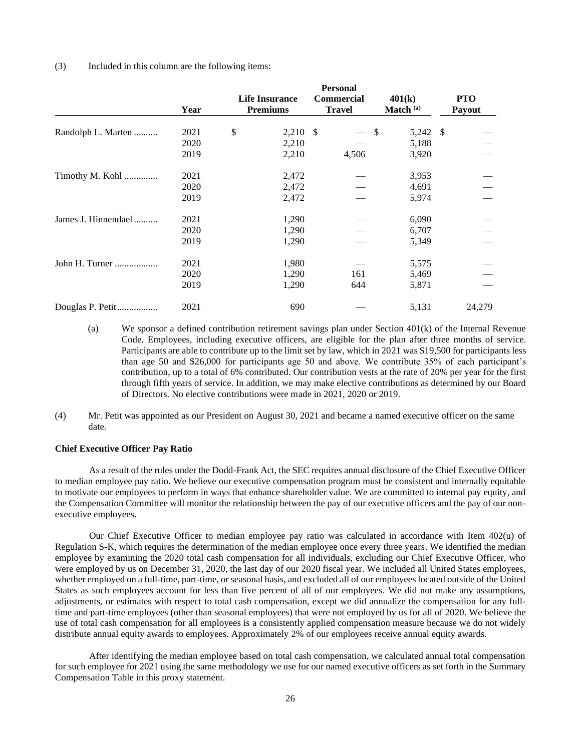### (3) Included in this column are the following items:

|                     | <b>Personal</b> |    |                       |  |                   |                      |    |            |
|---------------------|-----------------|----|-----------------------|--|-------------------|----------------------|----|------------|
|                     |                 |    | <b>Life Insurance</b> |  | <b>Commercial</b> | 401(k)               |    | <b>PTO</b> |
|                     | Year            |    | <b>Premiums</b>       |  | <b>Travel</b>     | Match <sup>(a)</sup> |    | Payout     |
| Randolph L. Marten  | 2021            | \$ | $2,210$ \$            |  |                   | - \$<br>5,242        | -S |            |
|                     | 2020            |    | 2,210                 |  |                   | 5,188                |    |            |
|                     | 2019            |    | 2,210                 |  | 4,506             | 3,920                |    |            |
| Timothy M. Kohl     | 2021            |    | 2,472                 |  |                   | 3,953                |    |            |
|                     | 2020            |    | 2,472                 |  |                   | 4,691                |    |            |
|                     | 2019            |    | 2,472                 |  |                   | 5,974                |    |            |
| James J. Hinnendael | 2021            |    | 1,290                 |  |                   | 6,090                |    |            |
|                     | 2020            |    | 1,290                 |  |                   | 6,707                |    |            |
|                     | 2019            |    | 1,290                 |  |                   | 5,349                |    |            |
| John H. Turner      | 2021            |    | 1,980                 |  |                   | 5,575                |    |            |
|                     | 2020            |    | 1,290                 |  | 161               | 5,469                |    |            |
|                     | 2019            |    | 1,290                 |  | 644               | 5,871                |    |            |
| Douglas P. Petit    | 2021            |    | 690                   |  |                   | 5,131                |    | 24,279     |

- (a) We sponsor a defined contribution retirement savings plan under Section 401(k) of the Internal Revenue Code. Employees, including executive officers, are eligible for the plan after three months of service. Participants are able to contribute up to the limit set by law, which in 2021 was \$19,500 for participants less than age 50 and \$26,000 for participants age 50 and above. We contribute 35% of each participant's contribution, up to a total of 6% contributed. Our contribution vests at the rate of 20% per year for the first through fifth years of service. In addition, we may make elective contributions as determined by our Board of Directors. No elective contributions were made in 2021, 2020 or 2019.
- (4) Mr. Petit was appointed as our President on August 30, 2021 and became a named executive officer on the same date.

# **Chief Executive Officer Pay Ratio**

As a result of the rules under the Dodd-Frank Act, the SEC requires annual disclosure of the Chief Executive Officer to median employee pay ratio. We believe our executive compensation program must be consistent and internally equitable to motivate our employees to perform in ways that enhance shareholder value. We are committed to internal pay equity, and the Compensation Committee will monitor the relationship between the pay of our executive officers and the pay of our nonexecutive employees.

Our Chief Executive Officer to median employee pay ratio was calculated in accordance with Item 402(u) of Regulation S-K, which requires the determination of the median employee once every three years. We identified the median employee by examining the 2020 total cash compensation for all individuals, excluding our Chief Executive Officer, who were employed by us on December 31, 2020, the last day of our 2020 fiscal year. We included all United States employees, whether employed on a full-time, part-time, or seasonal basis, and excluded all of our employees located outside of the United States as such employees account for less than five percent of all of our employees. We did not make any assumptions, adjustments, or estimates with respect to total cash compensation, except we did annualize the compensation for any fulltime and part-time employees (other than seasonal employees) that were not employed by us for all of 2020. We believe the use of total cash compensation for all employees is a consistently applied compensation measure because we do not widely distribute annual equity awards to employees. Approximately 2% of our employees receive annual equity awards.

After identifying the median employee based on total cash compensation, we calculated annual total compensation for such employee for 2021 using the same methodology we use for our named executive officers as set forth in the Summary Compensation Table in this proxy statement.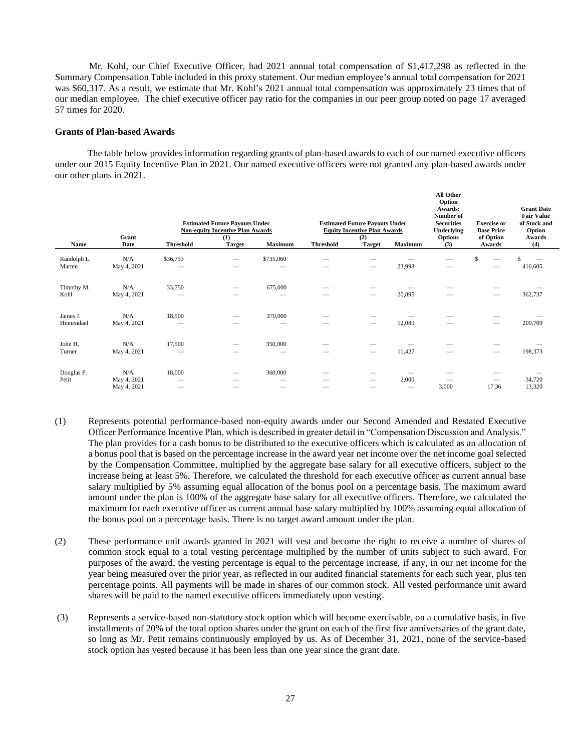Mr. Kohl, our Chief Executive Officer, had 2021 annual total compensation of \$1,417,298 as reflected in the Summary Compensation Table included in this proxy statement. Our median employee's annual total compensation for 2021 was \$60,317. As a result, we estimate that Mr. Kohl's 2021 annual total compensation was approximately 23 times that of our median employee. The chief executive officer pay ratio for the companies in our peer group noted on page 17 averaged 57 times for 2020.

# **Grants of Plan-based Awards**

The table below provides information regarding grants of plan-based awards to each of our named executive officers under our 2015 Equity Incentive Plan in 2021. Our named executive officers were not granted any plan-based awards under our other plans in 2021.

| Name                   | Grant<br>Date                     | <b>Threshold</b>                                | <b>Estimated Future Payouts Under</b><br><b>Non-equity Incentive Plan Awards</b><br>(1)<br><b>Target</b> | Maximum           | <b>Threshold</b> | <b>Estimated Future Payouts Under</b><br><b>Equity Incentive Plan Awards</b><br>(2)<br><b>Target</b> | Maximum                           | All Other<br>Option<br>Awards:<br>Number of<br><b>Securities</b><br><b>Underlying</b><br><b>Options</b><br>(3) | <b>Exercise or</b><br><b>Base Price</b><br>of Option<br>Awards | <b>Grant Date</b><br><b>Fair Value</b><br>of Stock and<br>Option<br>Awards<br>(4) |
|------------------------|-----------------------------------|-------------------------------------------------|----------------------------------------------------------------------------------------------------------|-------------------|------------------|------------------------------------------------------------------------------------------------------|-----------------------------------|----------------------------------------------------------------------------------------------------------------|----------------------------------------------------------------|-----------------------------------------------------------------------------------|
| Randolph L.<br>Marten  | N/A<br>May 4, 2021                | \$36,753                                        |                                                                                                          | \$735,060         |                  |                                                                                                      | 23,998                            | $\overline{\phantom{a}}$                                                                                       | \$                                                             | \$<br>416,605                                                                     |
| Timothy M.<br>Kohl     | N/A<br>May 4, 2021                | 33,750                                          |                                                                                                          | 675,000<br>-      | -                |                                                                                                      | 20,895                            | $\sim$                                                                                                         |                                                                | 362,737                                                                           |
| James J.<br>Hinnendael | N/A<br>May 4, 2021                | 18,500                                          |                                                                                                          | 370,000           |                  |                                                                                                      | 12,080                            |                                                                                                                |                                                                | 209,709                                                                           |
| John H.<br>Turner      | N/A<br>May 4, 2021                | 17,500<br>$\hspace{1.0cm} \rule{1.5cm}{0.15cm}$ | -                                                                                                        | 350,000<br>-      | -                |                                                                                                      | 11,427                            | $\sim$                                                                                                         | $\hspace{0.1mm}-\hspace{0.1mm}$                                | 198,373                                                                           |
| Douglas P.<br>Petit    | N/A<br>May 4, 2021<br>May 4, 2021 | 18,000<br>-<br>$\overline{\phantom{a}}$         | -                                                                                                        | 360,000<br>-<br>- | -                | -<br>$\overline{\phantom{a}}$                                                                        | 2,000<br>$\overline{\phantom{a}}$ | $\sim$<br>3,000                                                                                                | 17.36                                                          | 34,720<br>13,320                                                                  |

- (1) Represents potential performance-based non-equity awards under our Second Amended and Restated Executive Officer Performance Incentive Plan, which is described in greater detail in "Compensation Discussion and Analysis." The plan provides for a cash bonus to be distributed to the executive officers which is calculated as an allocation of a bonus pool that is based on the percentage increase in the award year net income over the net income goal selected by the Compensation Committee, multiplied by the aggregate base salary for all executive officers, subject to the increase being at least 5%. Therefore, we calculated the threshold for each executive officer as current annual base salary multiplied by 5% assuming equal allocation of the bonus pool on a percentage basis. The maximum award amount under the plan is 100% of the aggregate base salary for all executive officers. Therefore, we calculated the maximum for each executive officer as current annual base salary multiplied by 100% assuming equal allocation of the bonus pool on a percentage basis. There is no target award amount under the plan.
- (2) These performance unit awards granted in 2021 will vest and become the right to receive a number of shares of common stock equal to a total vesting percentage multiplied by the number of units subject to such award. For purposes of the award, the vesting percentage is equal to the percentage increase, if any, in our net income for the year being measured over the prior year, as reflected in our audited financial statements for each such year, plus ten percentage points. All payments will be made in shares of our common stock. All vested performance unit award shares will be paid to the named executive officers immediately upon vesting.
- (3) Represents a service-based non-statutory stock option which will become exercisable, on a cumulative basis, in five installments of 20% of the total option shares under the grant on each of the first five anniversaries of the grant date, so long as Mr. Petit remains continuously employed by us. As of December 31, 2021, none of the service-based stock option has vested because it has been less than one year since the grant date.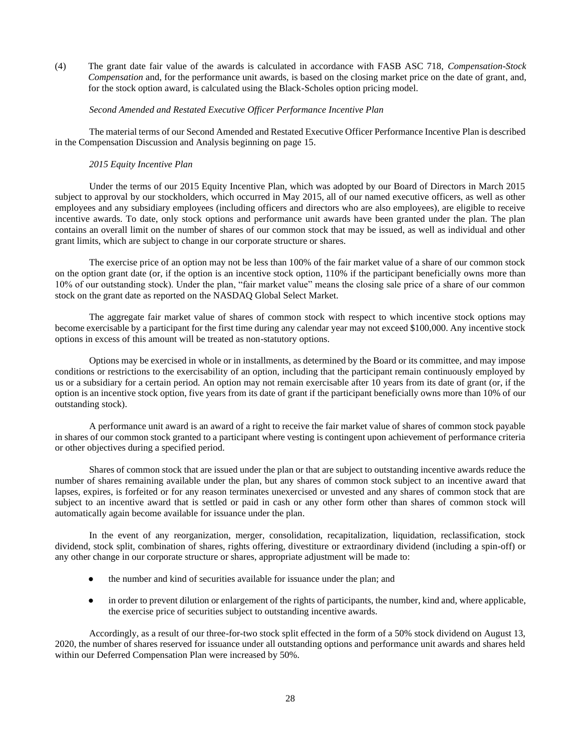(4) The grant date fair value of the awards is calculated in accordance with FASB ASC 718, *Compensation-Stock Compensation* and, for the performance unit awards, is based on the closing market price on the date of grant, and, for the stock option award, is calculated using the Black-Scholes option pricing model.

# *Second Amended and Restated Executive Officer Performance Incentive Plan*

The material terms of our Second Amended and Restated Executive Officer Performance Incentive Plan is described in the Compensation Discussion and Analysis beginning on page 15.

## *2015 Equity Incentive Plan*

Under the terms of our 2015 Equity Incentive Plan, which was adopted by our Board of Directors in March 2015 subject to approval by our stockholders, which occurred in May 2015, all of our named executive officers, as well as other employees and any subsidiary employees (including officers and directors who are also employees), are eligible to receive incentive awards. To date, only stock options and performance unit awards have been granted under the plan. The plan contains an overall limit on the number of shares of our common stock that may be issued, as well as individual and other grant limits, which are subject to change in our corporate structure or shares.

The exercise price of an option may not be less than 100% of the fair market value of a share of our common stock on the option grant date (or, if the option is an incentive stock option, 110% if the participant beneficially owns more than 10% of our outstanding stock). Under the plan, "fair market value" means the closing sale price of a share of our common stock on the grant date as reported on the NASDAQ Global Select Market.

The aggregate fair market value of shares of common stock with respect to which incentive stock options may become exercisable by a participant for the first time during any calendar year may not exceed \$100,000. Any incentive stock options in excess of this amount will be treated as non-statutory options.

Options may be exercised in whole or in installments, as determined by the Board or its committee, and may impose conditions or restrictions to the exercisability of an option, including that the participant remain continuously employed by us or a subsidiary for a certain period. An option may not remain exercisable after 10 years from its date of grant (or, if the option is an incentive stock option, five years from its date of grant if the participant beneficially owns more than 10% of our outstanding stock).

A performance unit award is an award of a right to receive the fair market value of shares of common stock payable in shares of our common stock granted to a participant where vesting is contingent upon achievement of performance criteria or other objectives during a specified period.

Shares of common stock that are issued under the plan or that are subject to outstanding incentive awards reduce the number of shares remaining available under the plan, but any shares of common stock subject to an incentive award that lapses, expires, is forfeited or for any reason terminates unexercised or unvested and any shares of common stock that are subject to an incentive award that is settled or paid in cash or any other form other than shares of common stock will automatically again become available for issuance under the plan.

In the event of any reorganization, merger, consolidation, recapitalization, liquidation, reclassification, stock dividend, stock split, combination of shares, rights offering, divestiture or extraordinary dividend (including a spin-off) or any other change in our corporate structure or shares, appropriate adjustment will be made to:

- the number and kind of securities available for issuance under the plan; and
- in order to prevent dilution or enlargement of the rights of participants, the number, kind and, where applicable, the exercise price of securities subject to outstanding incentive awards.

Accordingly, as a result of our three-for-two stock split effected in the form of a 50% stock dividend on August 13, 2020, the number of shares reserved for issuance under all outstanding options and performance unit awards and shares held within our Deferred Compensation Plan were increased by 50%.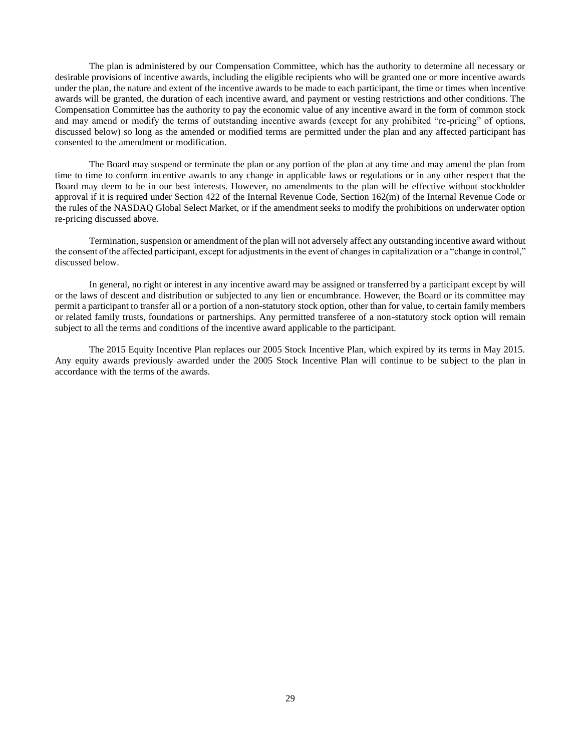The plan is administered by our Compensation Committee, which has the authority to determine all necessary or desirable provisions of incentive awards, including the eligible recipients who will be granted one or more incentive awards under the plan, the nature and extent of the incentive awards to be made to each participant, the time or times when incentive awards will be granted, the duration of each incentive award, and payment or vesting restrictions and other conditions. The Compensation Committee has the authority to pay the economic value of any incentive award in the form of common stock and may amend or modify the terms of outstanding incentive awards (except for any prohibited "re-pricing" of options, discussed below) so long as the amended or modified terms are permitted under the plan and any affected participant has consented to the amendment or modification.

The Board may suspend or terminate the plan or any portion of the plan at any time and may amend the plan from time to time to conform incentive awards to any change in applicable laws or regulations or in any other respect that the Board may deem to be in our best interests. However, no amendments to the plan will be effective without stockholder approval if it is required under Section 422 of the Internal Revenue Code, Section 162(m) of the Internal Revenue Code or the rules of the NASDAQ Global Select Market, or if the amendment seeks to modify the prohibitions on underwater option re-pricing discussed above.

Termination, suspension or amendment of the plan will not adversely affect any outstanding incentive award without the consent of the affected participant, except for adjustments in the event of changes in capitalization or a "change in control," discussed below.

In general, no right or interest in any incentive award may be assigned or transferred by a participant except by will or the laws of descent and distribution or subjected to any lien or encumbrance. However, the Board or its committee may permit a participant to transfer all or a portion of a non-statutory stock option, other than for value, to certain family members or related family trusts, foundations or partnerships. Any permitted transferee of a non-statutory stock option will remain subject to all the terms and conditions of the incentive award applicable to the participant.

The 2015 Equity Incentive Plan replaces our 2005 Stock Incentive Plan, which expired by its terms in May 2015. Any equity awards previously awarded under the 2005 Stock Incentive Plan will continue to be subject to the plan in accordance with the terms of the awards.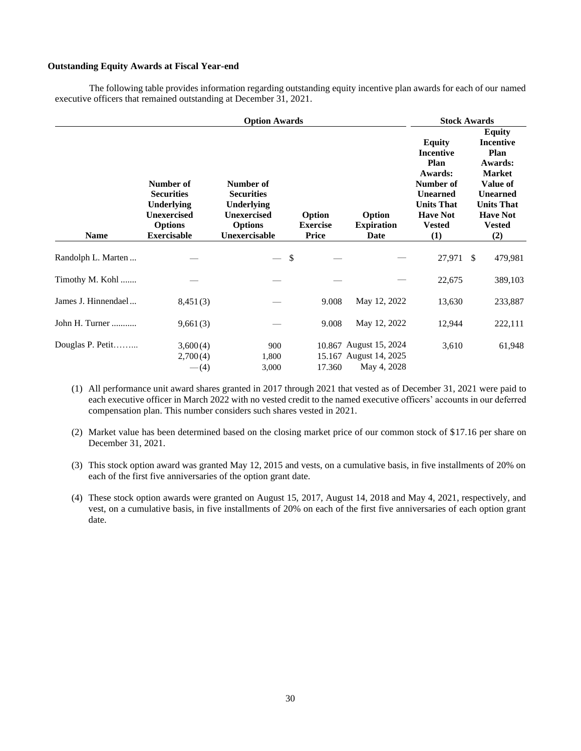# **Outstanding Equity Awards at Fiscal Year-end**

The following table provides information regarding outstanding equity incentive plan awards for each of our named executive officers that remained outstanding at December 31, 2021.

| <b>Option Awards</b> |                                                                                                                   |                                                                                                              |                                           |                                                                 |                                                                                                                                                      | <b>Stock Awards</b>                                                                                                                                                  |
|----------------------|-------------------------------------------------------------------------------------------------------------------|--------------------------------------------------------------------------------------------------------------|-------------------------------------------|-----------------------------------------------------------------|------------------------------------------------------------------------------------------------------------------------------------------------------|----------------------------------------------------------------------------------------------------------------------------------------------------------------------|
| <b>Name</b>          | Number of<br><b>Securities</b><br><b>Underlying</b><br><b>Unexercised</b><br><b>Options</b><br><b>Exercisable</b> | Number of<br><b>Securities</b><br><b>Underlying</b><br><b>Unexercised</b><br><b>Options</b><br>Unexercisable | Option<br><b>Exercise</b><br><b>Price</b> | Option<br><b>Expiration</b><br>Date                             | <b>Equity</b><br><b>Incentive</b><br>Plan<br>Awards:<br>Number of<br><b>Unearned</b><br><b>Units That</b><br><b>Have Not</b><br><b>Vested</b><br>(1) | <b>Equity</b><br><b>Incentive</b><br>Plan<br>Awards:<br><b>Market</b><br>Value of<br><b>Unearned</b><br><b>Units That</b><br><b>Have Not</b><br><b>Vested</b><br>(2) |
| Randolph L. Marten   |                                                                                                                   | \$                                                                                                           |                                           |                                                                 | 27,971                                                                                                                                               | <sup>\$</sup><br>479,981                                                                                                                                             |
| Timothy M. Kohl      |                                                                                                                   |                                                                                                              |                                           |                                                                 | 22,675                                                                                                                                               | 389,103                                                                                                                                                              |
| James J. Hinnendael  | 8,451(3)                                                                                                          |                                                                                                              | 9.008                                     | May 12, 2022                                                    | 13,630                                                                                                                                               | 233,887                                                                                                                                                              |
| John H. Turner       | 9,661(3)                                                                                                          |                                                                                                              | 9.008                                     | May 12, 2022                                                    | 12,944                                                                                                                                               | 222,111                                                                                                                                                              |
| Douglas P. Petit     | 3,600(4)<br>2,700(4)<br>$-(4)$                                                                                    | 900<br>1,800<br>3,000                                                                                        | 17.360                                    | 10.867 August 15, 2024<br>15.167 August 14, 2025<br>May 4, 2028 | 3,610                                                                                                                                                | 61,948                                                                                                                                                               |

- (1) All performance unit award shares granted in 2017 through 2021 that vested as of December 31, 2021 were paid to each executive officer in March 2022 with no vested credit to the named executive officers' accounts in our deferred compensation plan. This number considers such shares vested in 2021.
- (2) Market value has been determined based on the closing market price of our common stock of \$17.16 per share on December 31, 2021.
- (3) This stock option award was granted May 12, 2015 and vests, on a cumulative basis, in five installments of 20% on each of the first five anniversaries of the option grant date.
- (4) These stock option awards were granted on August 15, 2017, August 14, 2018 and May 4, 2021, respectively, and vest, on a cumulative basis, in five installments of 20% on each of the first five anniversaries of each option grant date.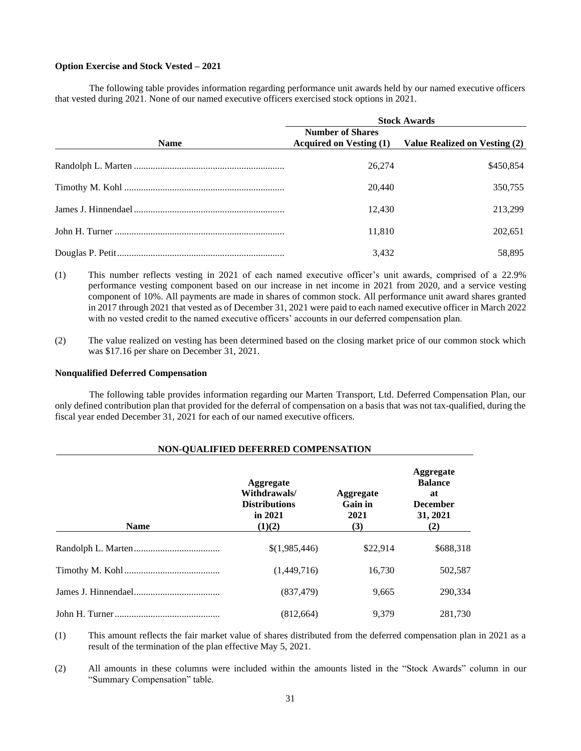## **Option Exercise and Stock Vested – 2021**

The following table provides information regarding performance unit awards held by our named executive officers that vested during 2021. None of our named executive officers exercised stock options in 2021.

|             | <b>Stock Awards</b>                                       |                               |  |  |  |  |
|-------------|-----------------------------------------------------------|-------------------------------|--|--|--|--|
| <b>Name</b> | <b>Number of Shares</b><br><b>Acquired on Vesting (1)</b> | Value Realized on Vesting (2) |  |  |  |  |
|             | 26,274                                                    | \$450,854                     |  |  |  |  |
|             | 20,440                                                    | 350,755                       |  |  |  |  |
|             | 12.430                                                    | 213.299                       |  |  |  |  |
|             | 11,810                                                    | 202,651                       |  |  |  |  |
|             | 3,432                                                     | 58.895                        |  |  |  |  |

- (1) This number reflects vesting in 2021 of each named executive officer's unit awards, comprised of a 22.9% performance vesting component based on our increase in net income in 2021 from 2020, and a service vesting component of 10%. All payments are made in shares of common stock. All performance unit award shares granted in 2017 through 2021 that vested as of December 31, 2021 were paid to each named executive officer in March 2022 with no vested credit to the named executive officers' accounts in our deferred compensation plan.
- (2) The value realized on vesting has been determined based on the closing market price of our common stock which was \$17.16 per share on December 31, 2021.

### **Nonqualified Deferred Compensation**

The following table provides information regarding our Marten Transport, Ltd. Deferred Compensation Plan, our only defined contribution plan that provided for the deferral of compensation on a basis that was not tax-qualified, during the fiscal year ended December 31, 2021 for each of our named executive officers.

# **NON-QUALIFIED DEFERRED COMPENSATION**

| <b>Name</b> | Aggregate<br>Withdrawals/<br><b>Distributions</b><br>in 2021<br>(1)(2) | Aggregate<br>Gain in<br>2021<br>(3) | <b>Aggregate</b><br><b>Balance</b><br>at<br><b>December</b><br>31, 2021<br>(2) |
|-------------|------------------------------------------------------------------------|-------------------------------------|--------------------------------------------------------------------------------|
|             | \$(1,985,446)                                                          | \$22,914                            | \$688,318                                                                      |
|             | (1,449,716)                                                            | 16,730                              | 502,587                                                                        |
|             | (837, 479)                                                             | 9,665                               | 290.334                                                                        |
|             | (812, 664)                                                             | 9.379                               | 281,730                                                                        |

(1) This amount reflects the fair market value of shares distributed from the deferred compensation plan in 2021 as a result of the termination of the plan effective May 5, 2021.

(2) All amounts in these columns were included within the amounts listed in the "Stock Awards" column in our "Summary Compensation" table.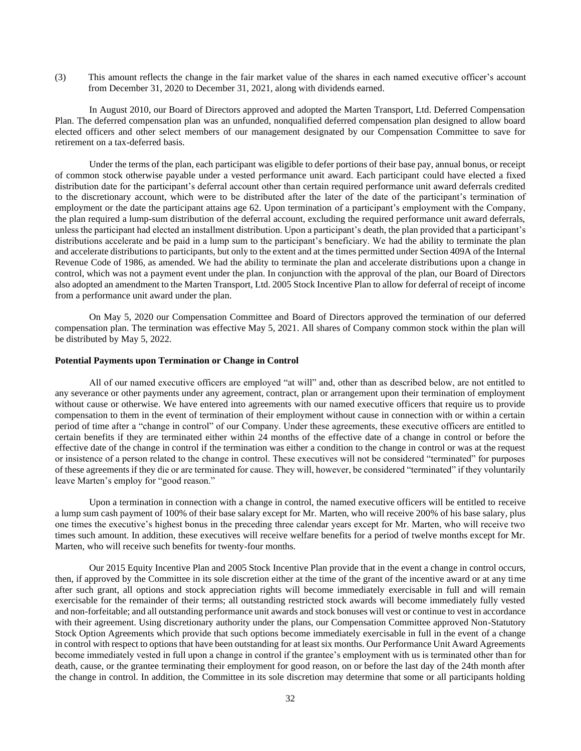(3) This amount reflects the change in the fair market value of the shares in each named executive officer's account from December 31, 2020 to December 31, 2021, along with dividends earned.

In August 2010, our Board of Directors approved and adopted the Marten Transport, Ltd. Deferred Compensation Plan. The deferred compensation plan was an unfunded, nonqualified deferred compensation plan designed to allow board elected officers and other select members of our management designated by our Compensation Committee to save for retirement on a tax-deferred basis.

Under the terms of the plan, each participant was eligible to defer portions of their base pay, annual bonus, or receipt of common stock otherwise payable under a vested performance unit award. Each participant could have elected a fixed distribution date for the participant's deferral account other than certain required performance unit award deferrals credited to the discretionary account, which were to be distributed after the later of the date of the participant's termination of employment or the date the participant attains age 62. Upon termination of a participant's employment with the Company, the plan required a lump-sum distribution of the deferral account, excluding the required performance unit award deferrals, unless the participant had elected an installment distribution. Upon a participant's death, the plan provided that a participant's distributions accelerate and be paid in a lump sum to the participant's beneficiary. We had the ability to terminate the plan and accelerate distributions to participants, but only to the extent and at the times permitted under Section 409A of the Internal Revenue Code of 1986, as amended. We had the ability to terminate the plan and accelerate distributions upon a change in control, which was not a payment event under the plan. In conjunction with the approval of the plan, our Board of Directors also adopted an amendment to the Marten Transport, Ltd. 2005 Stock Incentive Plan to allow for deferral of receipt of income from a performance unit award under the plan.

On May 5, 2020 our Compensation Committee and Board of Directors approved the termination of our deferred compensation plan. The termination was effective May 5, 2021. All shares of Company common stock within the plan will be distributed by May 5, 2022.

# **Potential Payments upon Termination or Change in Control**

All of our named executive officers are employed "at will" and, other than as described below, are not entitled to any severance or other payments under any agreement, contract, plan or arrangement upon their termination of employment without cause or otherwise. We have entered into agreements with our named executive officers that require us to provide compensation to them in the event of termination of their employment without cause in connection with or within a certain period of time after a "change in control" of our Company. Under these agreements, these executive officers are entitled to certain benefits if they are terminated either within 24 months of the effective date of a change in control or before the effective date of the change in control if the termination was either a condition to the change in control or was at the request or insistence of a person related to the change in control. These executives will not be considered "terminated" for purposes of these agreements if they die or are terminated for cause. They will, however, be considered "terminated" if they voluntarily leave Marten's employ for "good reason."

Upon a termination in connection with a change in control, the named executive officers will be entitled to receive a lump sum cash payment of 100% of their base salary except for Mr. Marten, who will receive 200% of his base salary, plus one times the executive's highest bonus in the preceding three calendar years except for Mr. Marten, who will receive two times such amount. In addition, these executives will receive welfare benefits for a period of twelve months except for Mr. Marten, who will receive such benefits for twenty-four months.

Our 2015 Equity Incentive Plan and 2005 Stock Incentive Plan provide that in the event a change in control occurs, then, if approved by the Committee in its sole discretion either at the time of the grant of the incentive award or at any time after such grant, all options and stock appreciation rights will become immediately exercisable in full and will remain exercisable for the remainder of their terms; all outstanding restricted stock awards will become immediately fully vested and non-forfeitable; and all outstanding performance unit awards and stock bonuses will vest or continue to vest in accordance with their agreement. Using discretionary authority under the plans, our Compensation Committee approved Non-Statutory Stock Option Agreements which provide that such options become immediately exercisable in full in the event of a change in control with respect to options that have been outstanding for at least six months. Our Performance Unit Award Agreements become immediately vested in full upon a change in control if the grantee's employment with us is terminated other than for death, cause, or the grantee terminating their employment for good reason, on or before the last day of the 24th month after the change in control. In addition, the Committee in its sole discretion may determine that some or all participants holding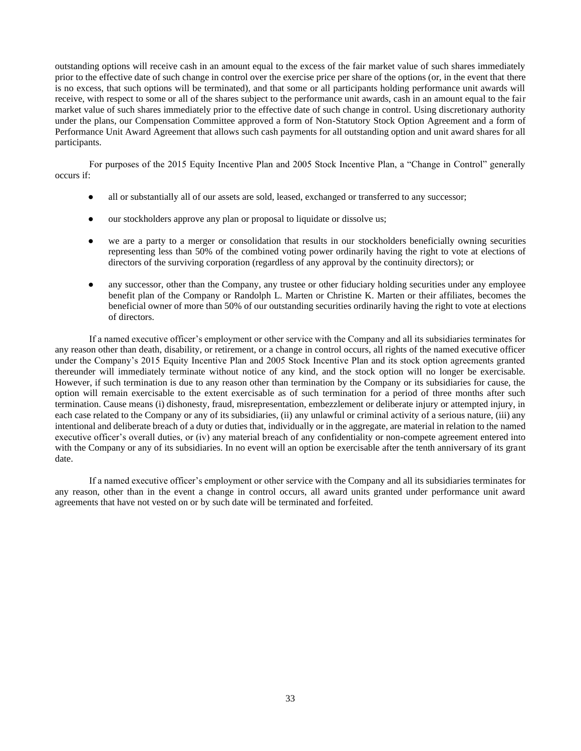outstanding options will receive cash in an amount equal to the excess of the fair market value of such shares immediately prior to the effective date of such change in control over the exercise price per share of the options (or, in the event that there is no excess, that such options will be terminated), and that some or all participants holding performance unit awards will receive, with respect to some or all of the shares subject to the performance unit awards, cash in an amount equal to the fair market value of such shares immediately prior to the effective date of such change in control. Using discretionary authority under the plans, our Compensation Committee approved a form of Non-Statutory Stock Option Agreement and a form of Performance Unit Award Agreement that allows such cash payments for all outstanding option and unit award shares for all participants.

For purposes of the 2015 Equity Incentive Plan and 2005 Stock Incentive Plan, a "Change in Control" generally occurs if:

- all or substantially all of our assets are sold, leased, exchanged or transferred to any successor;
- our stockholders approve any plan or proposal to liquidate or dissolve us;
- we are a party to a merger or consolidation that results in our stockholders beneficially owning securities representing less than 50% of the combined voting power ordinarily having the right to vote at elections of directors of the surviving corporation (regardless of any approval by the continuity directors); or
- any successor, other than the Company, any trustee or other fiduciary holding securities under any employee benefit plan of the Company or Randolph L. Marten or Christine K. Marten or their affiliates, becomes the beneficial owner of more than 50% of our outstanding securities ordinarily having the right to vote at elections of directors.

If a named executive officer's employment or other service with the Company and all its subsidiaries terminates for any reason other than death, disability, or retirement, or a change in control occurs, all rights of the named executive officer under the Company's 2015 Equity Incentive Plan and 2005 Stock Incentive Plan and its stock option agreements granted thereunder will immediately terminate without notice of any kind, and the stock option will no longer be exercisable. However, if such termination is due to any reason other than termination by the Company or its subsidiaries for cause, the option will remain exercisable to the extent exercisable as of such termination for a period of three months after such termination. Cause means (i) dishonesty, fraud, misrepresentation, embezzlement or deliberate injury or attempted injury, in each case related to the Company or any of its subsidiaries, (ii) any unlawful or criminal activity of a serious nature, (iii) any intentional and deliberate breach of a duty or duties that, individually or in the aggregate, are material in relation to the named executive officer's overall duties, or (iv) any material breach of any confidentiality or non-compete agreement entered into with the Company or any of its subsidiaries. In no event will an option be exercisable after the tenth anniversary of its grant date.

If a named executive officer's employment or other service with the Company and all its subsidiaries terminates for any reason, other than in the event a change in control occurs, all award units granted under performance unit award agreements that have not vested on or by such date will be terminated and forfeited.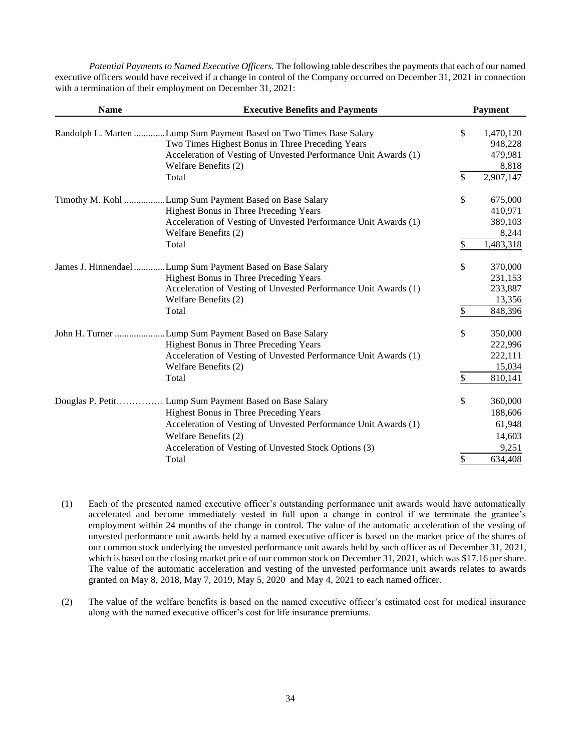*Potential Payments to Named Executive Officers.* The following table describes the payments that each of our named executive officers would have received if a change in control of the Company occurred on December 31, 2021 in connection with a termination of their employment on December 31, 2021:

| <b>Name</b>      | <b>Executive Benefits and Payments</b>                             | <b>Payment</b>  |
|------------------|--------------------------------------------------------------------|-----------------|
|                  | Randolph L. Marten Lump Sum Payment Based on Two Times Base Salary | \$<br>1,470,120 |
|                  | Two Times Highest Bonus in Three Preceding Years                   | 948,228         |
|                  | Acceleration of Vesting of Unvested Performance Unit Awards (1)    | 479,981         |
|                  | Welfare Benefits (2)                                               | 8,818           |
|                  | Total                                                              | \$<br>2,907,147 |
| Timothy M. Kohl  | .Lump Sum Payment Based on Base Salary                             | \$<br>675,000   |
|                  | Highest Bonus in Three Preceding Years                             | 410,971         |
|                  | Acceleration of Vesting of Unvested Performance Unit Awards (1)    | 389,103         |
|                  | Welfare Benefits (2)                                               | 8,244           |
|                  | Total                                                              | \$<br>1,483,318 |
|                  | James J. Hinnendael Lump Sum Payment Based on Base Salary          | \$<br>370,000   |
|                  | Highest Bonus in Three Preceding Years                             | 231,153         |
|                  | Acceleration of Vesting of Unvested Performance Unit Awards (1)    | 233,887         |
|                  | Welfare Benefits (2)                                               | 13,356          |
|                  | Total                                                              | \$<br>848,396   |
|                  | John H. Turner Lump Sum Payment Based on Base Salary               | \$<br>350,000   |
|                  | Highest Bonus in Three Preceding Years                             | 222,996         |
|                  | Acceleration of Vesting of Unvested Performance Unit Awards (1)    | 222,111         |
|                  | Welfare Benefits (2)                                               | 15,034          |
|                  | Total                                                              | \$<br>810,141   |
| Douglas P. Petit | Lump Sum Payment Based on Base Salary                              | \$<br>360,000   |
|                  | Highest Bonus in Three Preceding Years                             | 188,606         |
|                  | Acceleration of Vesting of Unvested Performance Unit Awards (1)    | 61,948          |
|                  | Welfare Benefits (2)                                               | 14,603          |
|                  | Acceleration of Vesting of Unvested Stock Options (3)              | 9,251           |
|                  | Total                                                              | \$<br>634,408   |

- (1) Each of the presented named executive officer's outstanding performance unit awards would have automatically accelerated and become immediately vested in full upon a change in control if we terminate the grantee's employment within 24 months of the change in control. The value of the automatic acceleration of the vesting of unvested performance unit awards held by a named executive officer is based on the market price of the shares of our common stock underlying the unvested performance unit awards held by such officer as of December 31, 2021, which is based on the closing market price of our common stock on December 31, 2021, which was \$17.16 per share. The value of the automatic acceleration and vesting of the unvested performance unit awards relates to awards granted on May 8, 2018, May 7, 2019, May 5, 2020 and May 4, 2021 to each named officer.
- (2) The value of the welfare benefits is based on the named executive officer's estimated cost for medical insurance along with the named executive officer's cost for life insurance premiums.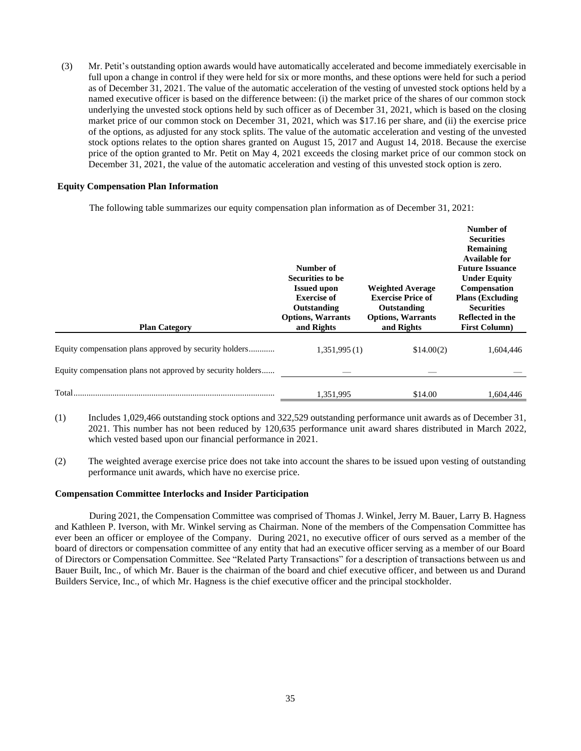(3) Mr. Petit's outstanding option awards would have automatically accelerated and become immediately exercisable in full upon a change in control if they were held for six or more months, and these options were held for such a period as of December 31, 2021. The value of the automatic acceleration of the vesting of unvested stock options held by a named executive officer is based on the difference between: (i) the market price of the shares of our common stock underlying the unvested stock options held by such officer as of December 31, 2021, which is based on the closing market price of our common stock on December 31, 2021, which was \$17.16 per share, and (ii) the exercise price of the options, as adjusted for any stock splits. The value of the automatic acceleration and vesting of the unvested stock options relates to the option shares granted on August 15, 2017 and August 14, 2018. Because the exercise price of the option granted to Mr. Petit on May 4, 2021 exceeds the closing market price of our common stock on December 31, 2021, the value of the automatic acceleration and vesting of this unvested stock option is zero.

## **Equity Compensation Plan Information**

The following table summarizes our equity compensation plan information as of December 31, 2021:

| <b>Plan Category</b>                                       | Number of<br>Securities to be<br><b>Issued upon</b><br><b>Exercise of</b><br>Outstanding<br><b>Options, Warrants</b><br>and Rights | <b>Weighted Average</b><br><b>Exercise Price of</b><br>Outstanding<br><b>Options, Warrants</b><br>and Rights | Number of<br><b>Securities</b><br><b>Remaining</b><br><b>Available for</b><br><b>Future Issuance</b><br><b>Under Equity</b><br>Compensation<br><b>Plans (Excluding</b><br><b>Securities</b><br>Reflected in the<br><b>First Column</b> ) |
|------------------------------------------------------------|------------------------------------------------------------------------------------------------------------------------------------|--------------------------------------------------------------------------------------------------------------|------------------------------------------------------------------------------------------------------------------------------------------------------------------------------------------------------------------------------------------|
| Equity compensation plans approved by security holders     | 1,351,995(1)                                                                                                                       | \$14.00(2)                                                                                                   | 1,604,446                                                                                                                                                                                                                                |
| Equity compensation plans not approved by security holders |                                                                                                                                    |                                                                                                              |                                                                                                                                                                                                                                          |
| Total<br>.                                                 | 1,351,995                                                                                                                          | \$14.00                                                                                                      | 1,604,446                                                                                                                                                                                                                                |

- (1) Includes 1,029,466 outstanding stock options and 322,529 outstanding performance unit awards as of December 31, 2021. This number has not been reduced by 120,635 performance unit award shares distributed in March 2022, which vested based upon our financial performance in 2021.
- (2) The weighted average exercise price does not take into account the shares to be issued upon vesting of outstanding performance unit awards, which have no exercise price.

### **Compensation Committee Interlocks and Insider Participation**

During 2021, the Compensation Committee was comprised of Thomas J. Winkel, Jerry M. Bauer, Larry B. Hagness and Kathleen P. Iverson, with Mr. Winkel serving as Chairman. None of the members of the Compensation Committee has ever been an officer or employee of the Company. During 2021, no executive officer of ours served as a member of the board of directors or compensation committee of any entity that had an executive officer serving as a member of our Board of Directors or Compensation Committee. See "Related Party Transactions" for a description of transactions between us and Bauer Built, Inc., of which Mr. Bauer is the chairman of the board and chief executive officer, and between us and Durand Builders Service, Inc., of which Mr. Hagness is the chief executive officer and the principal stockholder.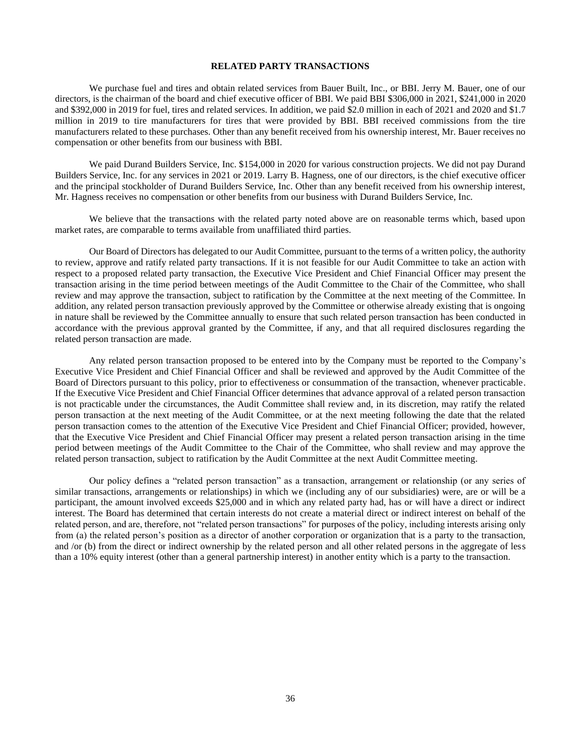### **RELATED PARTY TRANSACTIONS**

We purchase fuel and tires and obtain related services from Bauer Built, Inc., or BBI. Jerry M. Bauer, one of our directors, is the chairman of the board and chief executive officer of BBI. We paid BBI \$306,000 in 2021, \$241,000 in 2020 and \$392,000 in 2019 for fuel, tires and related services. In addition, we paid \$2.0 million in each of 2021 and 2020 and \$1.7 million in 2019 to tire manufacturers for tires that were provided by BBI. BBI received commissions from the tire manufacturers related to these purchases. Other than any benefit received from his ownership interest, Mr. Bauer receives no compensation or other benefits from our business with BBI.

We paid Durand Builders Service, Inc. \$154,000 in 2020 for various construction projects. We did not pay Durand Builders Service, Inc. for any services in 2021 or 2019. Larry B. Hagness, one of our directors, is the chief executive officer and the principal stockholder of Durand Builders Service, Inc. Other than any benefit received from his ownership interest, Mr. Hagness receives no compensation or other benefits from our business with Durand Builders Service, Inc.

We believe that the transactions with the related party noted above are on reasonable terms which, based upon market rates, are comparable to terms available from unaffiliated third parties.

Our Board of Directors has delegated to our Audit Committee, pursuant to the terms of a written policy, the authority to review, approve and ratify related party transactions. If it is not feasible for our Audit Committee to take an action with respect to a proposed related party transaction, the Executive Vice President and Chief Financial Officer may present the transaction arising in the time period between meetings of the Audit Committee to the Chair of the Committee, who shall review and may approve the transaction, subject to ratification by the Committee at the next meeting of the Committee. In addition, any related person transaction previously approved by the Committee or otherwise already existing that is ongoing in nature shall be reviewed by the Committee annually to ensure that such related person transaction has been conducted in accordance with the previous approval granted by the Committee, if any, and that all required disclosures regarding the related person transaction are made.

Any related person transaction proposed to be entered into by the Company must be reported to the Company's Executive Vice President and Chief Financial Officer and shall be reviewed and approved by the Audit Committee of the Board of Directors pursuant to this policy, prior to effectiveness or consummation of the transaction, whenever practicable. If the Executive Vice President and Chief Financial Officer determines that advance approval of a related person transaction is not practicable under the circumstances, the Audit Committee shall review and, in its discretion, may ratify the related person transaction at the next meeting of the Audit Committee, or at the next meeting following the date that the related person transaction comes to the attention of the Executive Vice President and Chief Financial Officer; provided, however, that the Executive Vice President and Chief Financial Officer may present a related person transaction arising in the time period between meetings of the Audit Committee to the Chair of the Committee, who shall review and may approve the related person transaction, subject to ratification by the Audit Committee at the next Audit Committee meeting.

Our policy defines a "related person transaction" as a transaction, arrangement or relationship (or any series of similar transactions, arrangements or relationships) in which we (including any of our subsidiaries) were, are or will be a participant, the amount involved exceeds \$25,000 and in which any related party had, has or will have a direct or indirect interest. The Board has determined that certain interests do not create a material direct or indirect interest on behalf of the related person, and are, therefore, not "related person transactions" for purposes of the policy, including interests arising only from (a) the related person's position as a director of another corporation or organization that is a party to the transaction, and /or (b) from the direct or indirect ownership by the related person and all other related persons in the aggregate of less than a 10% equity interest (other than a general partnership interest) in another entity which is a party to the transaction.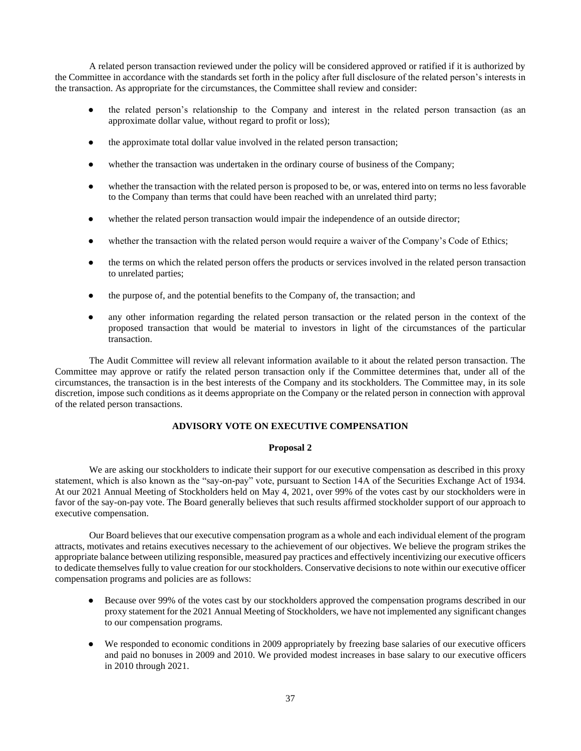A related person transaction reviewed under the policy will be considered approved or ratified if it is authorized by the Committee in accordance with the standards set forth in the policy after full disclosure of the related person's interests in the transaction. As appropriate for the circumstances, the Committee shall review and consider:

- the related person's relationship to the Company and interest in the related person transaction (as an approximate dollar value, without regard to profit or loss);
- the approximate total dollar value involved in the related person transaction;
- whether the transaction was undertaken in the ordinary course of business of the Company;
- whether the transaction with the related person is proposed to be, or was, entered into on terms no less favorable to the Company than terms that could have been reached with an unrelated third party;
- whether the related person transaction would impair the independence of an outside director;
- whether the transaction with the related person would require a waiver of the Company's Code of Ethics;
- the terms on which the related person offers the products or services involved in the related person transaction to unrelated parties;
- the purpose of, and the potential benefits to the Company of, the transaction; and
- any other information regarding the related person transaction or the related person in the context of the proposed transaction that would be material to investors in light of the circumstances of the particular transaction.

The Audit Committee will review all relevant information available to it about the related person transaction. The Committee may approve or ratify the related person transaction only if the Committee determines that, under all of the circumstances, the transaction is in the best interests of the Company and its stockholders. The Committee may, in its sole discretion, impose such conditions as it deems appropriate on the Company or the related person in connection with approval of the related person transactions.

# **ADVISORY VOTE ON EXECUTIVE COMPENSATION**

# **Proposal 2**

We are asking our stockholders to indicate their support for our executive compensation as described in this proxy statement, which is also known as the "say-on-pay" vote, pursuant to Section 14A of the Securities Exchange Act of 1934. At our 2021 Annual Meeting of Stockholders held on May 4, 2021, over 99% of the votes cast by our stockholders were in favor of the say-on-pay vote. The Board generally believes that such results affirmed stockholder support of our approach to executive compensation.

Our Board believes that our executive compensation program as a whole and each individual element of the program attracts, motivates and retains executives necessary to the achievement of our objectives. We believe the program strikes the appropriate balance between utilizing responsible, measured pay practices and effectively incentivizing our executive officers to dedicate themselves fully to value creation for our stockholders. Conservative decisions to note within our executive officer compensation programs and policies are as follows:

- Because over 99% of the votes cast by our stockholders approved the compensation programs described in our proxy statement for the 2021 Annual Meeting of Stockholders, we have not implemented any significant changes to our compensation programs.
- We responded to economic conditions in 2009 appropriately by freezing base salaries of our executive officers and paid no bonuses in 2009 and 2010. We provided modest increases in base salary to our executive officers in 2010 through 2021.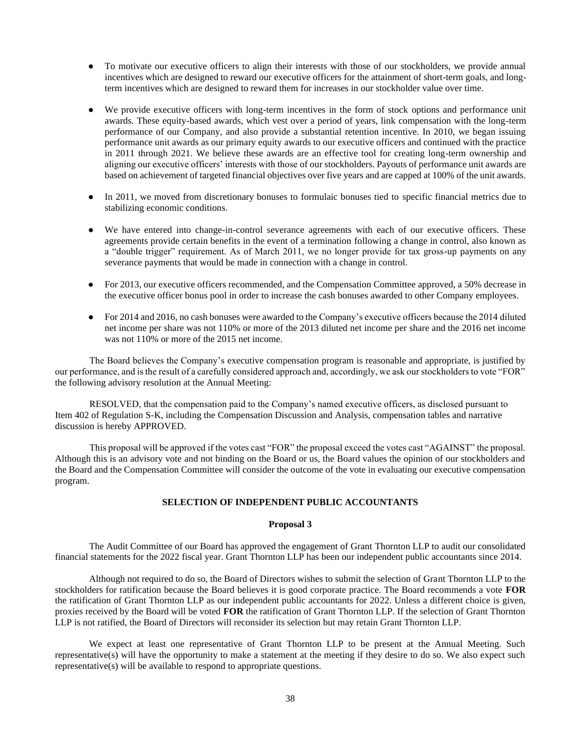- To motivate our executive officers to align their interests with those of our stockholders, we provide annual incentives which are designed to reward our executive officers for the attainment of short-term goals, and longterm incentives which are designed to reward them for increases in our stockholder value over time.
- We provide executive officers with long-term incentives in the form of stock options and performance unit awards. These equity-based awards, which vest over a period of years, link compensation with the long-term performance of our Company, and also provide a substantial retention incentive. In 2010, we began issuing performance unit awards as our primary equity awards to our executive officers and continued with the practice in 2011 through 2021. We believe these awards are an effective tool for creating long-term ownership and aligning our executive officers' interests with those of our stockholders. Payouts of performance unit awards are based on achievement of targeted financial objectives over five years and are capped at 100% of the unit awards.
- In 2011, we moved from discretionary bonuses to formulaic bonuses tied to specific financial metrics due to stabilizing economic conditions.
- We have entered into change-in-control severance agreements with each of our executive officers. These agreements provide certain benefits in the event of a termination following a change in control, also known as a "double trigger" requirement. As of March 2011, we no longer provide for tax gross-up payments on any severance payments that would be made in connection with a change in control.
- For 2013, our executive officers recommended, and the Compensation Committee approved, a 50% decrease in the executive officer bonus pool in order to increase the cash bonuses awarded to other Company employees.
- For 2014 and 2016, no cash bonuses were awarded to the Company's executive officers because the 2014 diluted net income per share was not 110% or more of the 2013 diluted net income per share and the 2016 net income was not 110% or more of the 2015 net income.

 The Board believes the Company's executive compensation program is reasonable and appropriate, is justified by our performance, and is the result of a carefully considered approach and, accordingly, we ask our stockholders to vote "FOR" the following advisory resolution at the Annual Meeting:

 RESOLVED, that the compensation paid to the Company's named executive officers, as disclosed pursuant to Item 402 of Regulation S-K, including the Compensation Discussion and Analysis, compensation tables and narrative discussion is hereby APPROVED.

 This proposal will be approved if the votes cast "FOR" the proposal exceed the votes cast "AGAINST" the proposal. Although this is an advisory vote and not binding on the Board or us, the Board values the opinion of our stockholders and the Board and the Compensation Committee will consider the outcome of the vote in evaluating our executive compensation program.

# **SELECTION OF INDEPENDENT PUBLIC ACCOUNTANTS**

## **Proposal 3**

The Audit Committee of our Board has approved the engagement of Grant Thornton LLP to audit our consolidated financial statements for the 2022 fiscal year. Grant Thornton LLP has been our independent public accountants since 2014.

Although not required to do so, the Board of Directors wishes to submit the selection of Grant Thornton LLP to the stockholders for ratification because the Board believes it is good corporate practice. The Board recommends a vote **FOR** the ratification of Grant Thornton LLP as our independent public accountants for 2022. Unless a different choice is given, proxies received by the Board will be voted **FOR** the ratification of Grant Thornton LLP. If the selection of Grant Thornton LLP is not ratified, the Board of Directors will reconsider its selection but may retain Grant Thornton LLP.

We expect at least one representative of Grant Thornton LLP to be present at the Annual Meeting. Such representative(s) will have the opportunity to make a statement at the meeting if they desire to do so. We also expect such representative(s) will be available to respond to appropriate questions.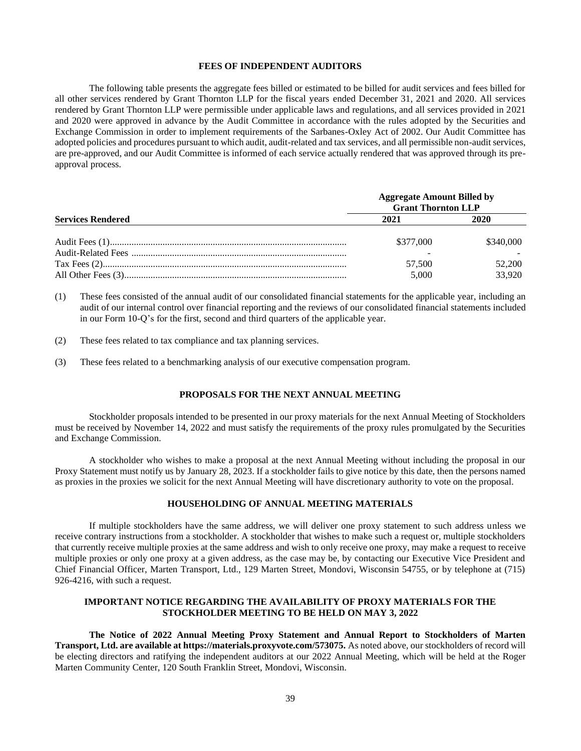### **FEES OF INDEPENDENT AUDITORS**

The following table presents the aggregate fees billed or estimated to be billed for audit services and fees billed for all other services rendered by Grant Thornton LLP for the fiscal years ended December 31, 2021 and 2020. All services rendered by Grant Thornton LLP were permissible under applicable laws and regulations, and all services provided in 2021 and 2020 were approved in advance by the Audit Committee in accordance with the rules adopted by the Securities and Exchange Commission in order to implement requirements of the Sarbanes-Oxley Act of 2002. Our Audit Committee has adopted policies and procedures pursuant to which audit, audit-related and tax services, and all permissible non-audit services, are pre-approved, and our Audit Committee is informed of each service actually rendered that was approved through its preapproval process.

|                          | <b>Aggregate Amount Billed by</b><br><b>Grant Thornton LLP</b> |           |  |
|--------------------------|----------------------------------------------------------------|-----------|--|
| <b>Services Rendered</b> | 2021                                                           | 2020      |  |
|                          | \$377,000                                                      | \$340,000 |  |
|                          | 57,500                                                         | 52,200    |  |
|                          | 5.000                                                          | 33.920    |  |

(1) These fees consisted of the annual audit of our consolidated financial statements for the applicable year, including an audit of our internal control over financial reporting and the reviews of our consolidated financial statements included in our Form 10-Q's for the first, second and third quarters of the applicable year.

(2) These fees related to tax compliance and tax planning services.

(3) These fees related to a benchmarking analysis of our executive compensation program.

#### **PROPOSALS FOR THE NEXT ANNUAL MEETING**

Stockholder proposals intended to be presented in our proxy materials for the next Annual Meeting of Stockholders must be received by November 14, 2022 and must satisfy the requirements of the proxy rules promulgated by the Securities and Exchange Commission.

A stockholder who wishes to make a proposal at the next Annual Meeting without including the proposal in our Proxy Statement must notify us by January 28, 2023. If a stockholder fails to give notice by this date, then the persons named as proxies in the proxies we solicit for the next Annual Meeting will have discretionary authority to vote on the proposal.

## **HOUSEHOLDING OF ANNUAL MEETING MATERIALS**

If multiple stockholders have the same address, we will deliver one proxy statement to such address unless we receive contrary instructions from a stockholder. A stockholder that wishes to make such a request or, multiple stockholders that currently receive multiple proxies at the same address and wish to only receive one proxy, may make a request to receive multiple proxies or only one proxy at a given address, as the case may be, by contacting our Executive Vice President and Chief Financial Officer, Marten Transport, Ltd., 129 Marten Street, Mondovi, Wisconsin 54755, or by telephone at (715) 926-4216, with such a request.

# **IMPORTANT NOTICE REGARDING THE AVAILABILITY OF PROXY MATERIALS FOR THE STOCKHOLDER MEETING TO BE HELD ON MAY 3, 2022**

**The Notice of 2022 Annual Meeting Proxy Statement and Annual Report to Stockholders of Marten Transport, Ltd. are available at https://materials.proxyvote.com/573075.** As noted above, our stockholders of record will be electing directors and ratifying the independent auditors at our 2022 Annual Meeting, which will be held at the Roger Marten Community Center, 120 South Franklin Street, Mondovi, Wisconsin.